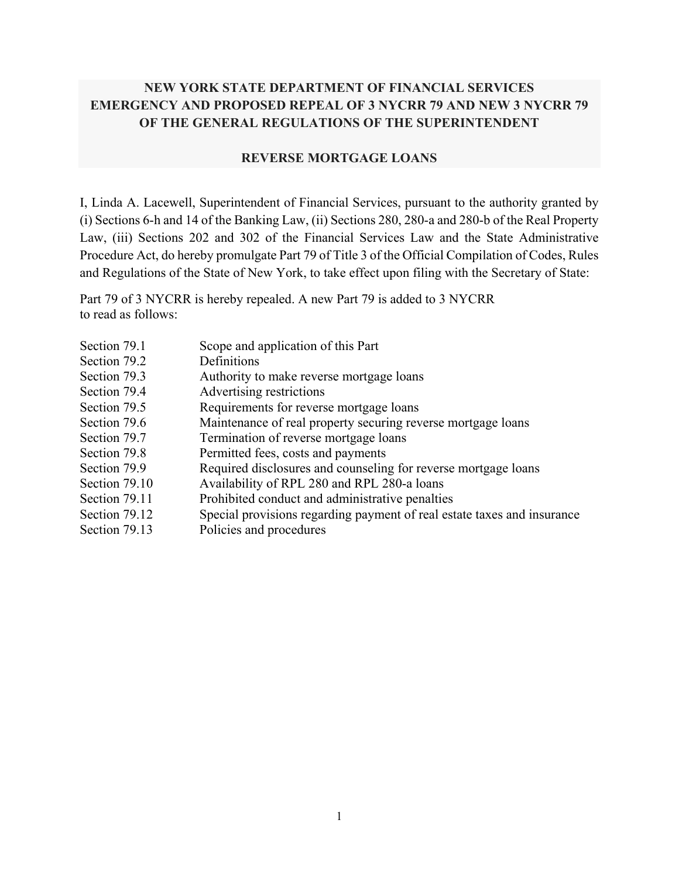# **NEW YORK STATE DEPARTMENT OF FINANCIAL SERVICES EMERGENCY AND PROPOSED REPEAL OF 3 NYCRR 79 AND NEW 3 NYCRR 79 OF THE GENERAL REGULATIONS OF THE SUPERINTENDENT**

#### **REVERSE MORTGAGE LOANS**

I, Linda A. Lacewell, Superintendent of Financial Services, pursuant to the authority granted by (i) Sections 6-h and 14 of the Banking Law, (ii) Sections 280, 280-a and 280-b of the Real Property Law, (iii) Sections 202 and 302 of the Financial Services Law and the State Administrative Procedure Act, do hereby promulgate Part 79 of Title 3 of the Official Compilation of Codes, Rules and Regulations of the State of New York, to take effect upon filing with the Secretary of State:

Part 79 of 3 NYCRR is hereby repealed. A new Part 79 is added to 3 NYCRR to read as follows:

| Section 79.1  | Scope and application of this Part                                      |
|---------------|-------------------------------------------------------------------------|
| Section 79.2  | Definitions                                                             |
| Section 79.3  | Authority to make reverse mortgage loans                                |
| Section 79.4  | Advertising restrictions                                                |
| Section 79.5  | Requirements for reverse mortgage loans                                 |
| Section 79.6  | Maintenance of real property securing reverse mortgage loans            |
| Section 79.7  | Termination of reverse mortgage loans                                   |
| Section 79.8  | Permitted fees, costs and payments                                      |
| Section 79.9  | Required disclosures and counseling for reverse mortgage loans          |
| Section 79.10 | Availability of RPL 280 and RPL 280-a loans                             |
| Section 79.11 | Prohibited conduct and administrative penalties                         |
| Section 79.12 | Special provisions regarding payment of real estate taxes and insurance |
| Section 79.13 | Policies and procedures                                                 |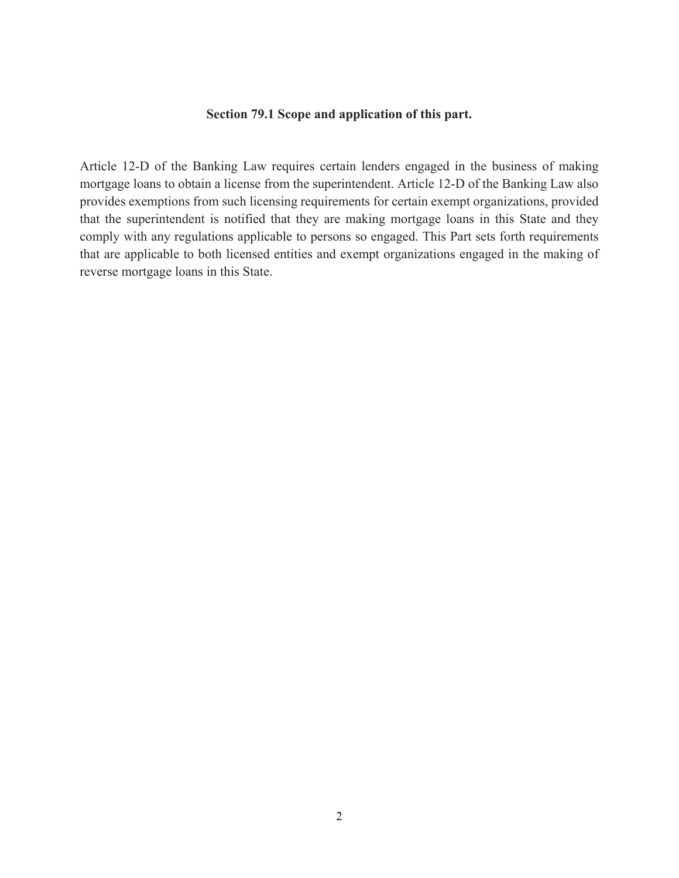#### **Section 79.1 Scope and application of this part.**

Article 12-D of the Banking Law requires certain lenders engaged in the business of making mortgage loans to obtain a license from the superintendent. Article 12-D of the Banking Law also provides exemptions from such licensing requirements for certain exempt organizations, provided that the superintendent is notified that they are making mortgage loans in this State and they comply with any regulations applicable to persons so engaged. This Part sets forth requirements that are applicable to both licensed entities and exempt organizations engaged in the making of reverse mortgage loans in this State.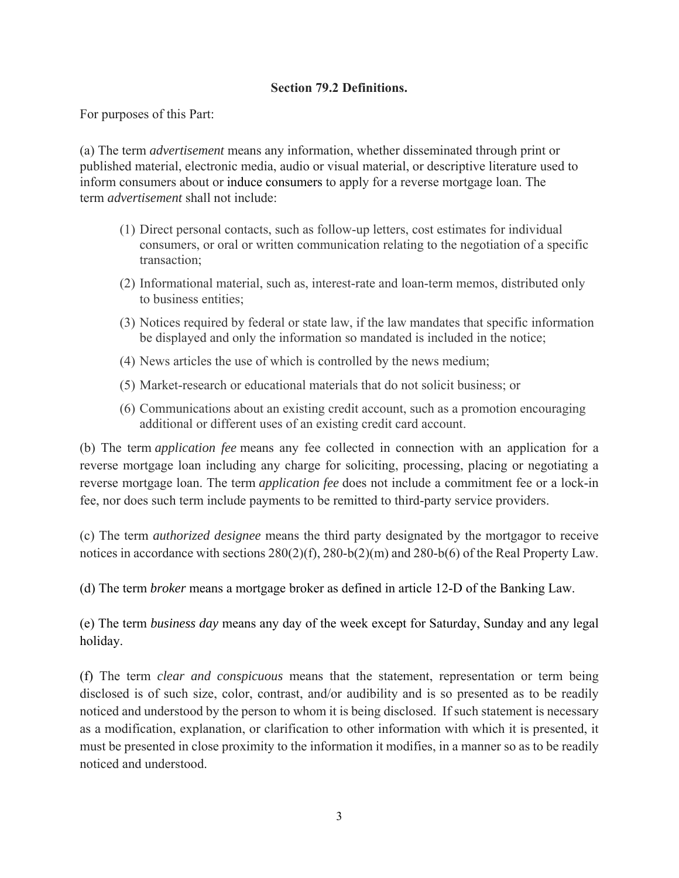## **Section 79.2 Definitions.**

For purposes of this Part:

(a) The term *advertisement* means any information, whether disseminated through print or published material, electronic media, audio or visual material, or descriptive literature used to inform consumers about or induce consumers to apply for a reverse mortgage loan. The term *advertisement* shall not include:

- (1) Direct personal contacts, such as follow-up letters, cost estimates for individual consumers, or oral or written communication relating to the negotiation of a specific transaction;
- (2) Informational material, such as, interest-rate and loan-term memos, distributed only to business entities;
- (3) Notices required by federal or state law, if the law mandates that specific information be displayed and only the information so mandated is included in the notice;
- (4) News articles the use of which is controlled by the news medium;
- (5) Market-research or educational materials that do not solicit business; or
- (6) Communications about an existing credit account, such as a promotion encouraging additional or different uses of an existing credit card account.

(b) The term *application fee* means any fee collected in connection with an application for a reverse mortgage loan including any charge for soliciting, processing, placing or negotiating a reverse mortgage loan. The term *application fee* does not include a commitment fee or a lock-in fee, nor does such term include payments to be remitted to third-party service providers.

(c) The term *authorized designee* means the third party designated by the mortgagor to receive notices in accordance with sections 280(2)(f), 280-b(2)(m) and 280-b(6) of the Real Property Law.

(d) The term *broker* means a mortgage broker as defined in article 12-D of the Banking Law.

(e) The term *business day* means any day of the week except for Saturday, Sunday and any legal holiday.

(f) The term *clear and conspicuous* means that the statement, representation or term being disclosed is of such size, color, contrast, and/or audibility and is so presented as to be readily noticed and understood by the person to whom it is being disclosed. If such statement is necessary as a modification, explanation, or clarification to other information with which it is presented, it must be presented in close proximity to the information it modifies, in a manner so as to be readily noticed and understood.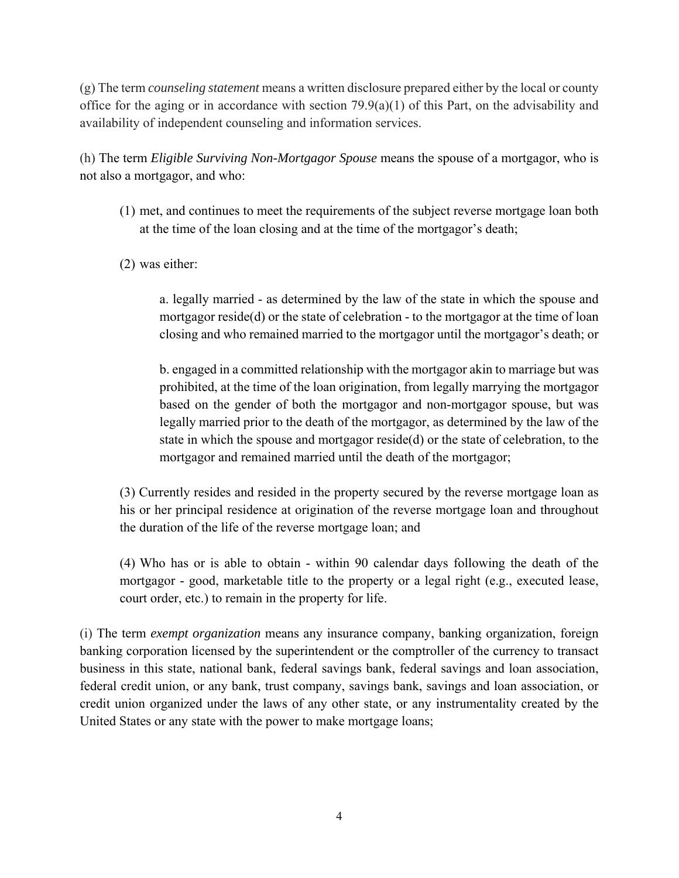(g) The term *counseling statement* means a written disclosure prepared either by the local or county office for the aging or in accordance with section  $79.9(a)(1)$  of this Part, on the advisability and availability of independent counseling and information services.

(h) The term *Eligible Surviving Non-Mortgagor Spouse* means the spouse of a mortgagor, who is not also a mortgagor, and who:

- (1) met, and continues to meet the requirements of the subject reverse mortgage loan both at the time of the loan closing and at the time of the mortgagor's death;
- (2) was either:

a. legally married - as determined by the law of the state in which the spouse and mortgagor reside(d) or the state of celebration - to the mortgagor at the time of loan closing and who remained married to the mortgagor until the mortgagor's death; or

b. engaged in a committed relationship with the mortgagor akin to marriage but was prohibited, at the time of the loan origination, from legally marrying the mortgagor based on the gender of both the mortgagor and non-mortgagor spouse, but was legally married prior to the death of the mortgagor, as determined by the law of the state in which the spouse and mortgagor reside(d) or the state of celebration, to the mortgagor and remained married until the death of the mortgagor;

(3) Currently resides and resided in the property secured by the reverse mortgage loan as his or her principal residence at origination of the reverse mortgage loan and throughout the duration of the life of the reverse mortgage loan; and

(4) Who has or is able to obtain - within 90 calendar days following the death of the mortgagor - good, marketable title to the property or a legal right (e.g., executed lease, court order, etc.) to remain in the property for life.

(i) The term *exempt organization* means any insurance company, banking organization, foreign banking corporation licensed by the superintendent or the comptroller of the currency to transact business in this state, national bank, federal savings bank, federal savings and loan association, federal credit union, or any bank, trust company, savings bank, savings and loan association, or credit union organized under the laws of any other state, or any instrumentality created by the United States or any state with the power to make mortgage loans;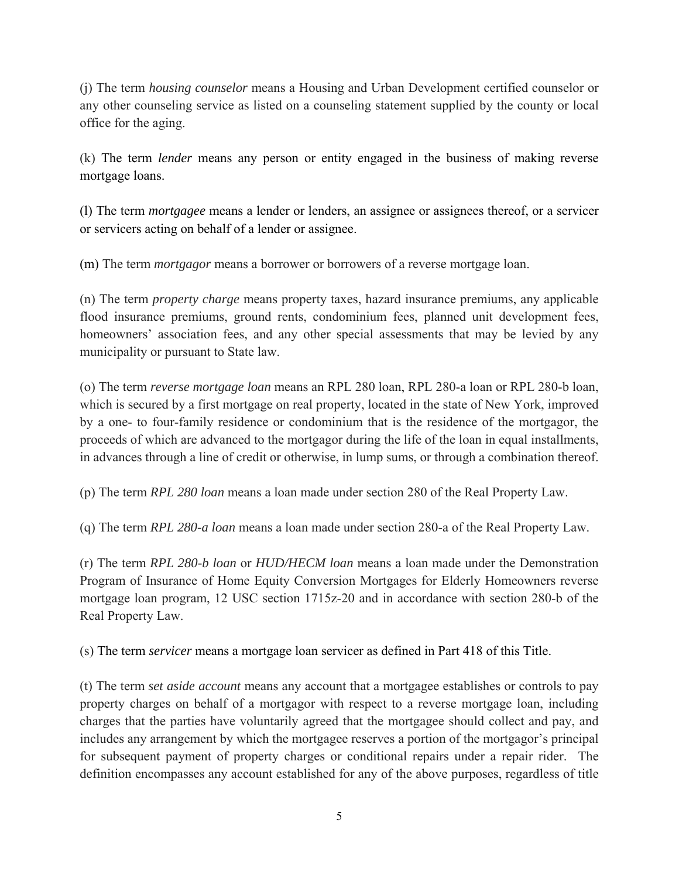(j) The term *housing counselor* means a Housing and Urban Development certified counselor or any other counseling service as listed on a counseling statement supplied by the county or local office for the aging.

(k) The term *lender* means any person or entity engaged in the business of making reverse mortgage loans.

(l) The term *mortgagee* means a lender or lenders, an assignee or assignees thereof, or a servicer or servicers acting on behalf of a lender or assignee.

(m) The term *mortgagor* means a borrower or borrowers of a reverse mortgage loan.

(n) The term *property charge* means property taxes, hazard insurance premiums, any applicable flood insurance premiums, ground rents, condominium fees, planned unit development fees, homeowners' association fees, and any other special assessments that may be levied by any municipality or pursuant to State law.

(o) The term *reverse mortgage loan* means an RPL 280 loan, RPL 280-a loan or RPL 280-b loan, which is secured by a first mortgage on real property, located in the state of New York, improved by a one- to four-family residence or condominium that is the residence of the mortgagor, the proceeds of which are advanced to the mortgagor during the life of the loan in equal installments, in advances through a line of credit or otherwise, in lump sums, or through a combination thereof.

(p) The term *RPL 280 loan* means a loan made under section 280 of the Real Property Law.

(q) The term *RPL 280-a loan* means a loan made under section 280-a of the Real Property Law.

(r) The term *RPL 280-b loan* or *HUD/HECM loan* means a loan made under the Demonstration Program of Insurance of Home Equity Conversion Mortgages for Elderly Homeowners reverse mortgage loan program, 12 USC section 1715z-20 and in accordance with section 280-b of the Real Property Law.

(s) The term *servicer* means a mortgage loan servicer as defined in Part 418 of this Title.

(t) The term *set aside account* means any account that a mortgagee establishes or controls to pay property charges on behalf of a mortgagor with respect to a reverse mortgage loan, including charges that the parties have voluntarily agreed that the mortgagee should collect and pay, and includes any arrangement by which the mortgagee reserves a portion of the mortgagor's principal for subsequent payment of property charges or conditional repairs under a repair rider. The definition encompasses any account established for any of the above purposes, regardless of title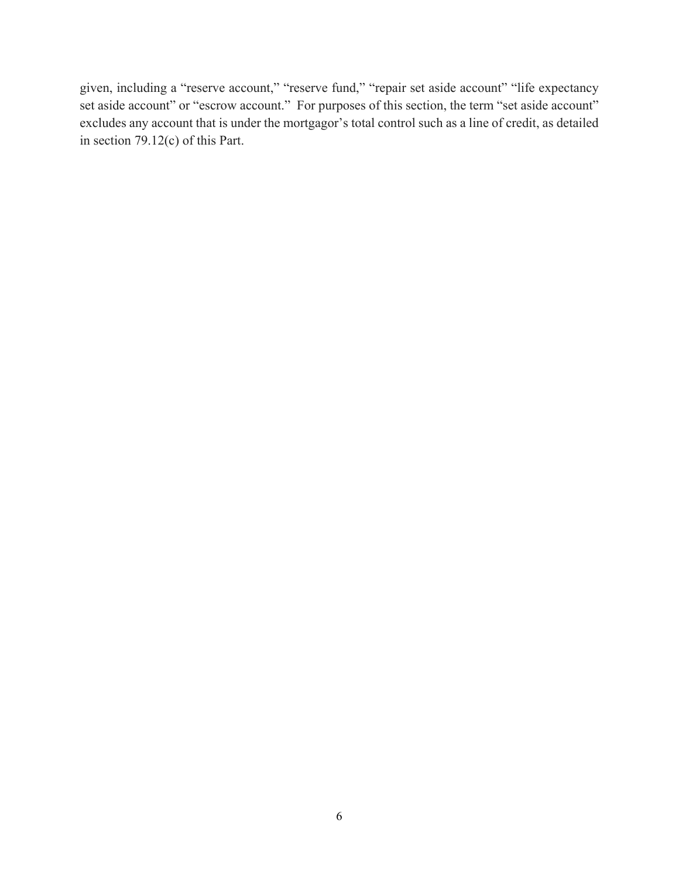given, including a "reserve account," "reserve fund," "repair set aside account" "life expectancy set aside account" or "escrow account." For purposes of this section, the term "set aside account" excludes any account that is under the mortgagor's total control such as a line of credit, as detailed in section 79.12(c) of this Part.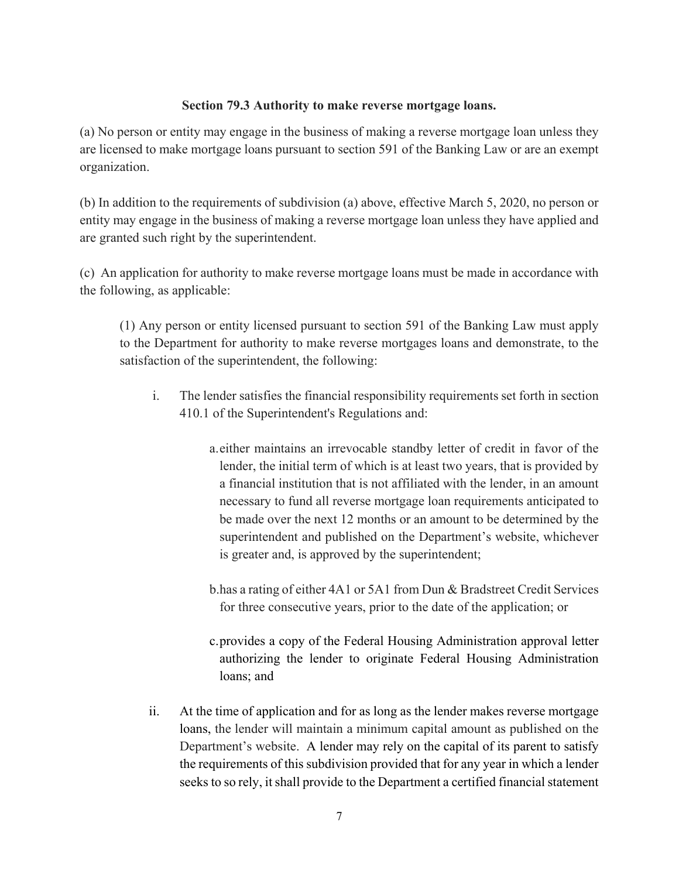#### **Section 79.3 Authority to make reverse mortgage loans.**

(a) No person or entity may engage in the business of making a reverse mortgage loan unless they are licensed to make mortgage loans pursuant to section 591 of the Banking Law or are an exempt organization.

(b) In addition to the requirements of subdivision (a) above, effective March 5, 2020, no person or entity may engage in the business of making a reverse mortgage loan unless they have applied and are granted such right by the superintendent.

(c) An application for authority to make reverse mortgage loans must be made in accordance with the following, as applicable:

(1) Any person or entity licensed pursuant to section 591 of the Banking Law must apply to the Department for authority to make reverse mortgages loans and demonstrate, to the satisfaction of the superintendent, the following:

- i. The lender satisfies the financial responsibility requirements set forth in section 410.1 of the Superintendent's Regulations and:
	- a.either maintains an irrevocable standby letter of credit in favor of the lender, the initial term of which is at least two years, that is provided by a financial institution that is not affiliated with the lender, in an amount necessary to fund all reverse mortgage loan requirements anticipated to be made over the next 12 months or an amount to be determined by the superintendent and published on the Department's website, whichever is greater and, is approved by the superintendent;
	- b.has a rating of either 4A1 or 5A1 from Dun & Bradstreet Credit Services for three consecutive years, prior to the date of the application; or
	- c.provides a copy of the Federal Housing Administration approval letter authorizing the lender to originate Federal Housing Administration loans; and
- ii. At the time of application and for as long as the lender makes reverse mortgage loans, the lender will maintain a minimum capital amount as published on the Department's website. A lender may rely on the capital of its parent to satisfy the requirements of this subdivision provided that for any year in which a lender seeks to so rely, it shall provide to the Department a certified financial statement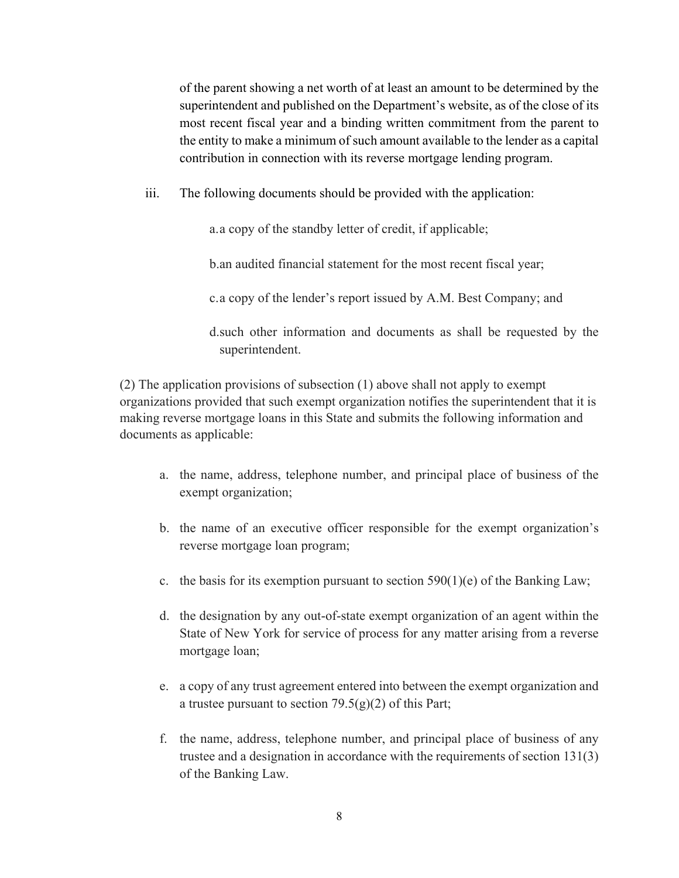of the parent showing a net worth of at least an amount to be determined by the superintendent and published on the Department's website, as of the close of its most recent fiscal year and a binding written commitment from the parent to the entity to make a minimum of such amount available to the lender as a capital contribution in connection with its reverse mortgage lending program.

iii. The following documents should be provided with the application:

a.a copy of the standby letter of credit, if applicable;

b.an audited financial statement for the most recent fiscal year;

c.a copy of the lender's report issued by A.M. Best Company; and

d.such other information and documents as shall be requested by the superintendent.

(2) The application provisions of subsection (1) above shall not apply to exempt organizations provided that such exempt organization notifies the superintendent that it is making reverse mortgage loans in this State and submits the following information and documents as applicable:

- a. the name, address, telephone number, and principal place of business of the exempt organization;
- b. the name of an executive officer responsible for the exempt organization's reverse mortgage loan program;
- c. the basis for its exemption pursuant to section  $590(1)(e)$  of the Banking Law;
- d. the designation by any out-of-state exempt organization of an agent within the State of New York for service of process for any matter arising from a reverse mortgage loan;
- e. a copy of any trust agreement entered into between the exempt organization and a trustee pursuant to section  $79.5(g)(2)$  of this Part;
- f. the name, address, telephone number, and principal place of business of any trustee and a designation in accordance with the requirements of section 131(3) of the Banking Law.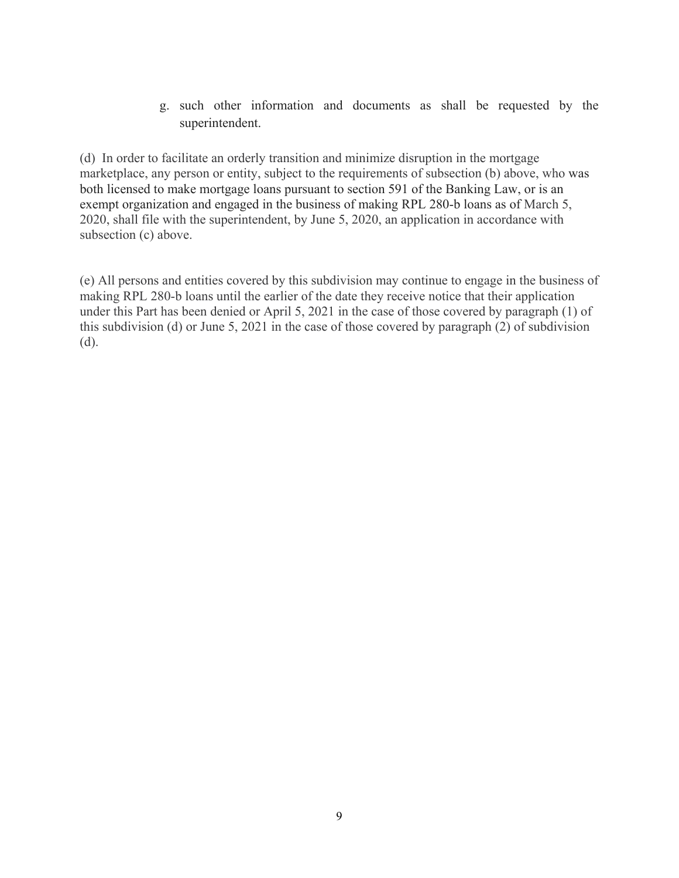g. such other information and documents as shall be requested by the superintendent.

(d) In order to facilitate an orderly transition and minimize disruption in the mortgage marketplace, any person or entity, subject to the requirements of subsection (b) above, who was both licensed to make mortgage loans pursuant to section 591 of the Banking Law, or is an exempt organization and engaged in the business of making RPL 280-b loans as of March 5, 2020, shall file with the superintendent, by June 5, 2020, an application in accordance with subsection (c) above.

(e) All persons and entities covered by this subdivision may continue to engage in the business of making RPL 280-b loans until the earlier of the date they receive notice that their application under this Part has been denied or April 5, 2021 in the case of those covered by paragraph (1) of this subdivision (d) or June 5, 2021 in the case of those covered by paragraph (2) of subdivision (d).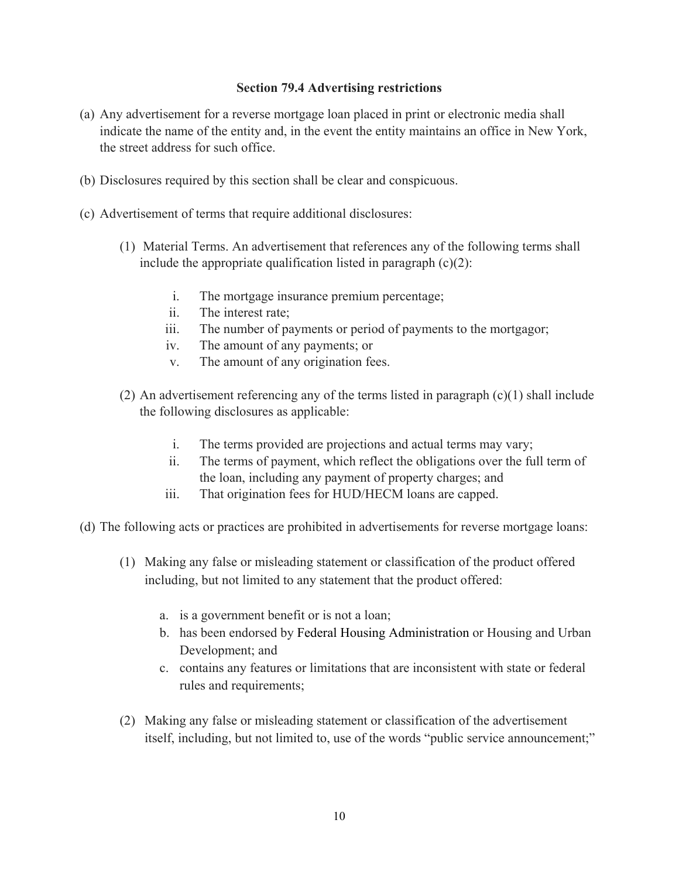## **Section 79.4 Advertising restrictions**

- (a) Any advertisement for a reverse mortgage loan placed in print or electronic media shall indicate the name of the entity and, in the event the entity maintains an office in New York, the street address for such office.
- (b) Disclosures required by this section shall be clear and conspicuous.
- (c) Advertisement of terms that require additional disclosures:
	- (1) Material Terms. An advertisement that references any of the following terms shall include the appropriate qualification listed in paragraph  $(c)(2)$ :
		- i. The mortgage insurance premium percentage;
		- ii. The interest rate;
		- iii. The number of payments or period of payments to the mortgagor;
		- iv. The amount of any payments; or
		- v. The amount of any origination fees.
	- (2) An advertisement referencing any of the terms listed in paragraph (c)(1) shall include the following disclosures as applicable:
		- i. The terms provided are projections and actual terms may vary;
		- ii. The terms of payment, which reflect the obligations over the full term of the loan, including any payment of property charges; and
		- iii. That origination fees for HUD/HECM loans are capped.
- (d) The following acts or practices are prohibited in advertisements for reverse mortgage loans:
	- (1) Making any false or misleading statement or classification of the product offered including, but not limited to any statement that the product offered:
		- a. is a government benefit or is not a loan;
		- b. has been endorsed by Federal Housing Administration or Housing and Urban Development; and
		- c. contains any features or limitations that are inconsistent with state or federal rules and requirements;
	- (2) Making any false or misleading statement or classification of the advertisement itself, including, but not limited to, use of the words "public service announcement;"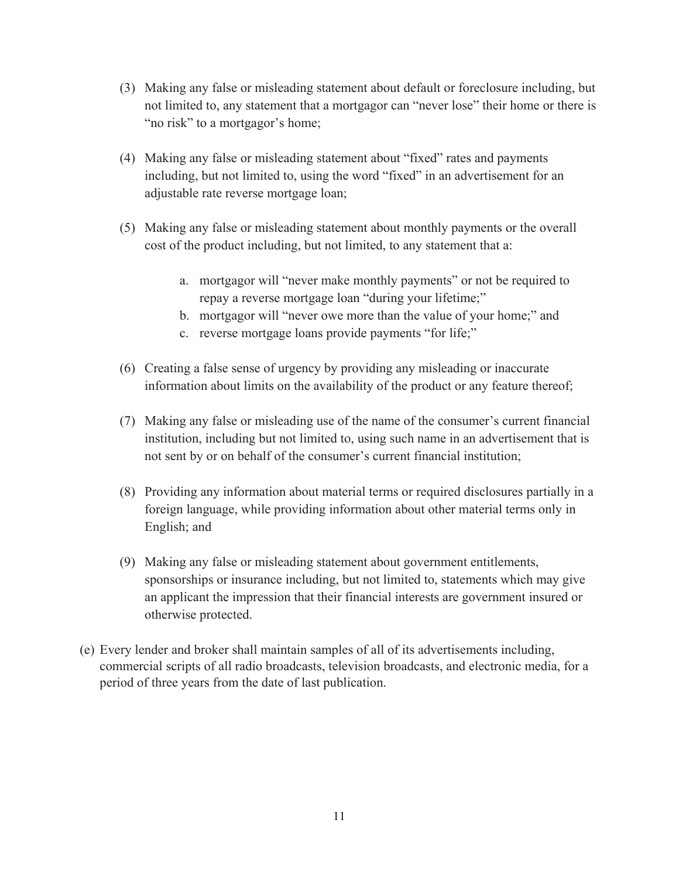- (3) Making any false or misleading statement about default or foreclosure including, but not limited to, any statement that a mortgagor can "never lose" their home or there is "no risk" to a mortgagor's home;
- (4) Making any false or misleading statement about "fixed" rates and payments including, but not limited to, using the word "fixed" in an advertisement for an adjustable rate reverse mortgage loan;
- (5) Making any false or misleading statement about monthly payments or the overall cost of the product including, but not limited, to any statement that a:
	- a. mortgagor will "never make monthly payments" or not be required to repay a reverse mortgage loan "during your lifetime;"
	- b. mortgagor will "never owe more than the value of your home;" and
	- c. reverse mortgage loans provide payments "for life;"
- (6) Creating a false sense of urgency by providing any misleading or inaccurate information about limits on the availability of the product or any feature thereof;
- (7) Making any false or misleading use of the name of the consumer's current financial institution, including but not limited to, using such name in an advertisement that is not sent by or on behalf of the consumer's current financial institution;
- (8) Providing any information about material terms or required disclosures partially in a foreign language, while providing information about other material terms only in English; and
- (9) Making any false or misleading statement about government entitlements, sponsorships or insurance including, but not limited to, statements which may give an applicant the impression that their financial interests are government insured or otherwise protected.
- (e) Every lender and broker shall maintain samples of all of its advertisements including, commercial scripts of all radio broadcasts, television broadcasts, and electronic media, for a period of three years from the date of last publication.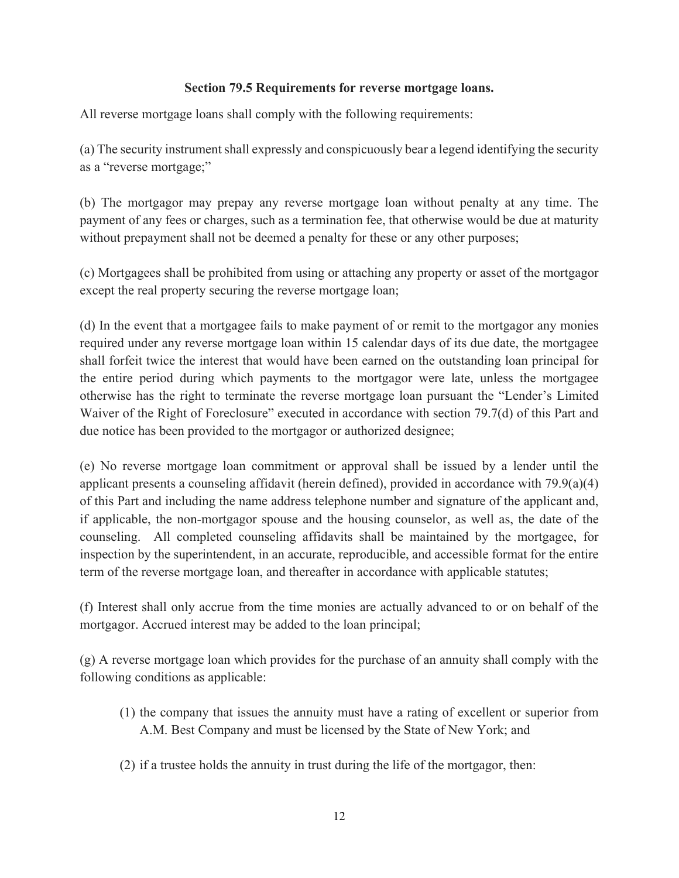# **Section 79.5 Requirements for reverse mortgage loans.**

All reverse mortgage loans shall comply with the following requirements:

(a) The security instrument shall expressly and conspicuously bear a legend identifying the security as a "reverse mortgage;"

(b) The mortgagor may prepay any reverse mortgage loan without penalty at any time. The payment of any fees or charges, such as a termination fee, that otherwise would be due at maturity without prepayment shall not be deemed a penalty for these or any other purposes;

(c) Mortgagees shall be prohibited from using or attaching any property or asset of the mortgagor except the real property securing the reverse mortgage loan;

(d) In the event that a mortgagee fails to make payment of or remit to the mortgagor any monies required under any reverse mortgage loan within 15 calendar days of its due date, the mortgagee shall forfeit twice the interest that would have been earned on the outstanding loan principal for the entire period during which payments to the mortgagor were late, unless the mortgagee otherwise has the right to terminate the reverse mortgage loan pursuant the "Lender's Limited Waiver of the Right of Foreclosure" executed in accordance with section 79.7(d) of this Part and due notice has been provided to the mortgagor or authorized designee;

(e) No reverse mortgage loan commitment or approval shall be issued by a lender until the applicant presents a counseling affidavit (herein defined), provided in accordance with 79.9(a)(4) of this Part and including the name address telephone number and signature of the applicant and, if applicable, the non-mortgagor spouse and the housing counselor, as well as, the date of the counseling. All completed counseling affidavits shall be maintained by the mortgagee, for inspection by the superintendent, in an accurate, reproducible, and accessible format for the entire term of the reverse mortgage loan, and thereafter in accordance with applicable statutes;

(f) Interest shall only accrue from the time monies are actually advanced to or on behalf of the mortgagor. Accrued interest may be added to the loan principal;

(g) A reverse mortgage loan which provides for the purchase of an annuity shall comply with the following conditions as applicable:

- (1) the company that issues the annuity must have a rating of excellent or superior from A.M. Best Company and must be licensed by the State of New York; and
- (2) if a trustee holds the annuity in trust during the life of the mortgagor, then: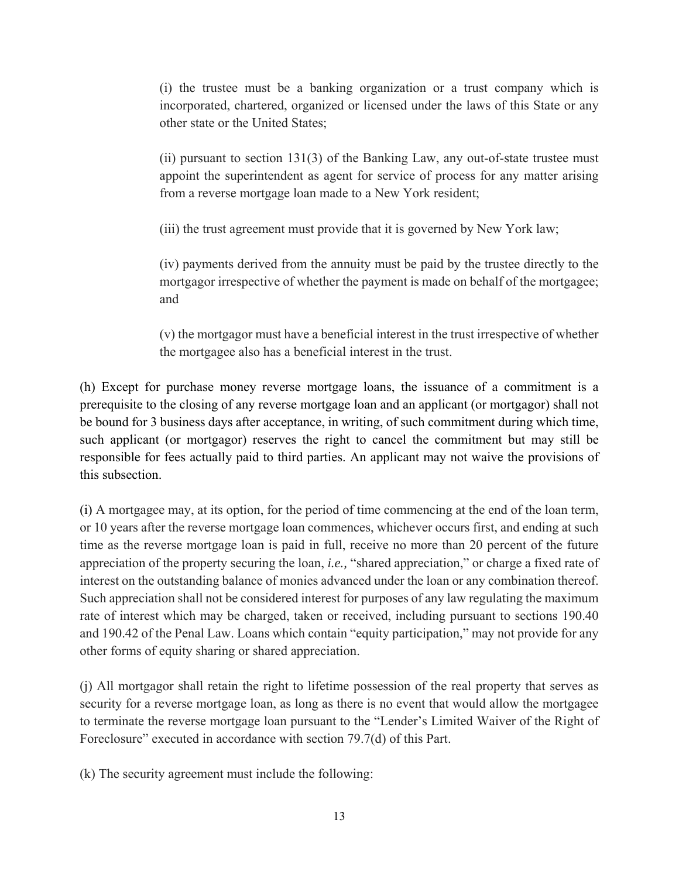(i) the trustee must be a banking organization or a trust company which is incorporated, chartered, organized or licensed under the laws of this State or any other state or the United States;

(ii) pursuant to section 131(3) of the Banking Law, any out-of-state trustee must appoint the superintendent as agent for service of process for any matter arising from a reverse mortgage loan made to a New York resident;

(iii) the trust agreement must provide that it is governed by New York law;

(iv) payments derived from the annuity must be paid by the trustee directly to the mortgagor irrespective of whether the payment is made on behalf of the mortgagee; and

(v) the mortgagor must have a beneficial interest in the trust irrespective of whether the mortgagee also has a beneficial interest in the trust.

(h) Except for purchase money reverse mortgage loans, the issuance of a commitment is a prerequisite to the closing of any reverse mortgage loan and an applicant (or mortgagor) shall not be bound for 3 business days after acceptance, in writing, of such commitment during which time, such applicant (or mortgagor) reserves the right to cancel the commitment but may still be responsible for fees actually paid to third parties. An applicant may not waive the provisions of this subsection.

(i) A mortgagee may, at its option, for the period of time commencing at the end of the loan term, or 10 years after the reverse mortgage loan commences, whichever occurs first, and ending at such time as the reverse mortgage loan is paid in full, receive no more than 20 percent of the future appreciation of the property securing the loan, *i.e.,* "shared appreciation," or charge a fixed rate of interest on the outstanding balance of monies advanced under the loan or any combination thereof. Such appreciation shall not be considered interest for purposes of any law regulating the maximum rate of interest which may be charged, taken or received, including pursuant to sections 190.40 and 190.42 of the Penal Law. Loans which contain "equity participation," may not provide for any other forms of equity sharing or shared appreciation.

(j) All mortgagor shall retain the right to lifetime possession of the real property that serves as security for a reverse mortgage loan, as long as there is no event that would allow the mortgagee to terminate the reverse mortgage loan pursuant to the "Lender's Limited Waiver of the Right of Foreclosure" executed in accordance with section 79.7(d) of this Part.

(k) The security agreement must include the following: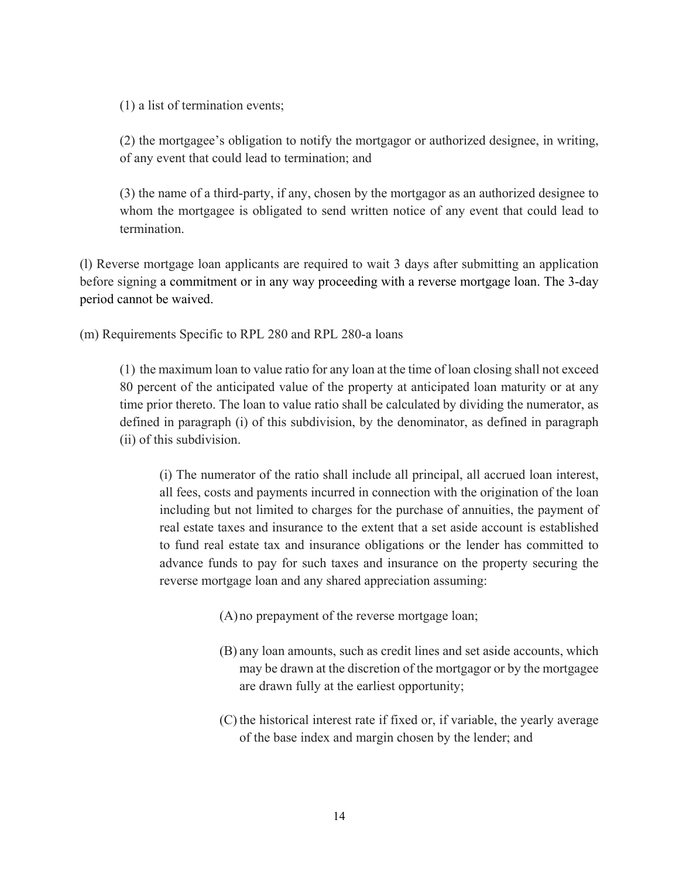(1) a list of termination events;

(2) the mortgagee's obligation to notify the mortgagor or authorized designee, in writing, of any event that could lead to termination; and

(3) the name of a third-party, if any, chosen by the mortgagor as an authorized designee to whom the mortgagee is obligated to send written notice of any event that could lead to termination.

(l) Reverse mortgage loan applicants are required to wait 3 days after submitting an application before signing a commitment or in any way proceeding with a reverse mortgage loan. The 3-day period cannot be waived.

(m) Requirements Specific to RPL 280 and RPL 280-a loans

(1) the maximum loan to value ratio for any loan at the time of loan closing shall not exceed 80 percent of the anticipated value of the property at anticipated loan maturity or at any time prior thereto. The loan to value ratio shall be calculated by dividing the numerator, as defined in paragraph (i) of this subdivision, by the denominator, as defined in paragraph (ii) of this subdivision.

(i) The numerator of the ratio shall include all principal, all accrued loan interest, all fees, costs and payments incurred in connection with the origination of the loan including but not limited to charges for the purchase of annuities, the payment of real estate taxes and insurance to the extent that a set aside account is established to fund real estate tax and insurance obligations or the lender has committed to advance funds to pay for such taxes and insurance on the property securing the reverse mortgage loan and any shared appreciation assuming:

- (A)no prepayment of the reverse mortgage loan;
- (B) any loan amounts, such as credit lines and set aside accounts, which may be drawn at the discretion of the mortgagor or by the mortgagee are drawn fully at the earliest opportunity;
- (C) the historical interest rate if fixed or, if variable, the yearly average of the base index and margin chosen by the lender; and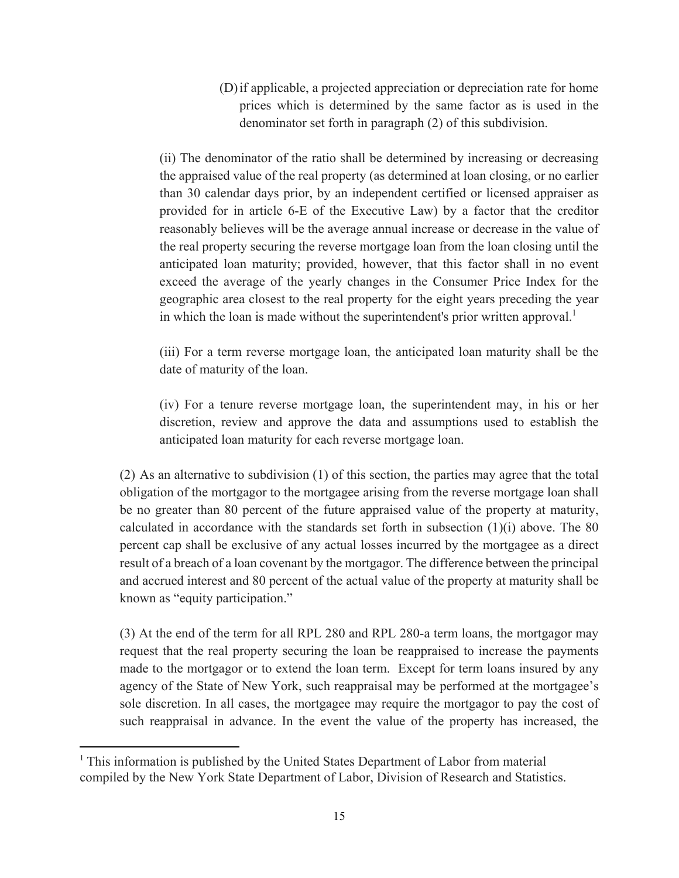(D)if applicable, a projected appreciation or depreciation rate for home prices which is determined by the same factor as is used in the denominator set forth in paragraph (2) of this subdivision.

(ii) The denominator of the ratio shall be determined by increasing or decreasing the appraised value of the real property (as determined at loan closing, or no earlier than 30 calendar days prior, by an independent certified or licensed appraiser as provided for in article 6-E of the Executive Law) by a factor that the creditor reasonably believes will be the average annual increase or decrease in the value of the real property securing the reverse mortgage loan from the loan closing until the anticipated loan maturity; provided, however, that this factor shall in no event exceed the average of the yearly changes in the Consumer Price Index for the geographic area closest to the real property for the eight years preceding the year in which the loan is made without the superintendent's prior written approval.<sup>1</sup>

(iii) For a term reverse mortgage loan, the anticipated loan maturity shall be the date of maturity of the loan.

(iv) For a tenure reverse mortgage loan, the superintendent may, in his or her discretion, review and approve the data and assumptions used to establish the anticipated loan maturity for each reverse mortgage loan.

(2) As an alternative to subdivision (1) of this section, the parties may agree that the total obligation of the mortgagor to the mortgagee arising from the reverse mortgage loan shall be no greater than 80 percent of the future appraised value of the property at maturity, calculated in accordance with the standards set forth in subsection (1)(i) above. The 80 percent cap shall be exclusive of any actual losses incurred by the mortgagee as a direct result of a breach of a loan covenant by the mortgagor. The difference between the principal and accrued interest and 80 percent of the actual value of the property at maturity shall be known as "equity participation."

(3) At the end of the term for all RPL 280 and RPL 280-a term loans, the mortgagor may request that the real property securing the loan be reappraised to increase the payments made to the mortgagor or to extend the loan term. Except for term loans insured by any agency of the State of New York, such reappraisal may be performed at the mortgagee's sole discretion. In all cases, the mortgagee may require the mortgagor to pay the cost of such reappraisal in advance. In the event the value of the property has increased, the

<sup>&</sup>lt;sup>1</sup> This information is published by the United States Department of Labor from material compiled by the New York State Department of Labor, Division of Research and Statistics.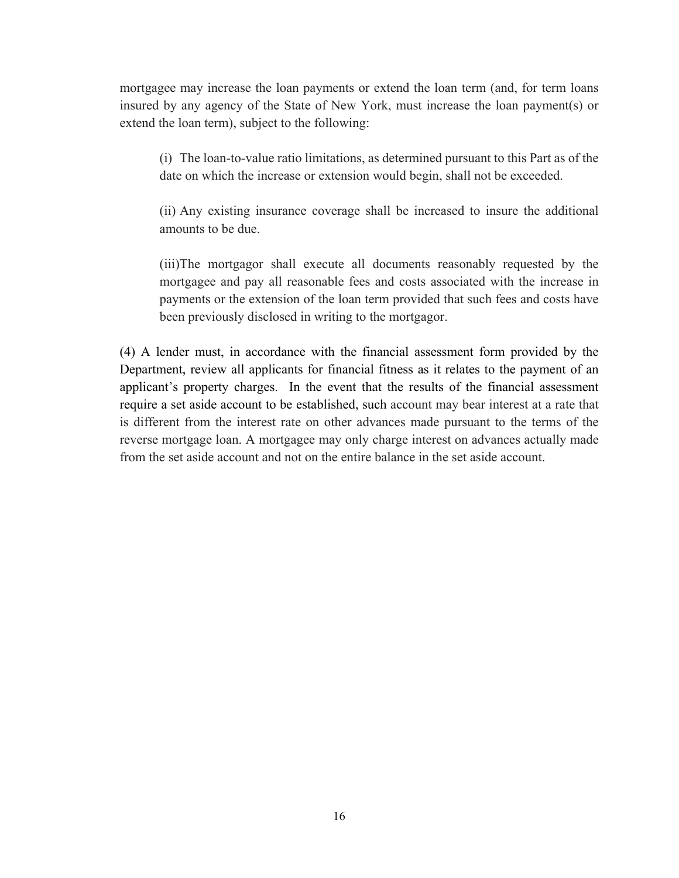mortgagee may increase the loan payments or extend the loan term (and, for term loans insured by any agency of the State of New York, must increase the loan payment(s) or extend the loan term), subject to the following:

(i) The loan-to-value ratio limitations, as determined pursuant to this Part as of the date on which the increase or extension would begin, shall not be exceeded.

(ii) Any existing insurance coverage shall be increased to insure the additional amounts to be due.

(iii)The mortgagor shall execute all documents reasonably requested by the mortgagee and pay all reasonable fees and costs associated with the increase in payments or the extension of the loan term provided that such fees and costs have been previously disclosed in writing to the mortgagor.

(4) A lender must, in accordance with the financial assessment form provided by the Department, review all applicants for financial fitness as it relates to the payment of an applicant's property charges. In the event that the results of the financial assessment require a set aside account to be established, such account may bear interest at a rate that is different from the interest rate on other advances made pursuant to the terms of the reverse mortgage loan. A mortgagee may only charge interest on advances actually made from the set aside account and not on the entire balance in the set aside account.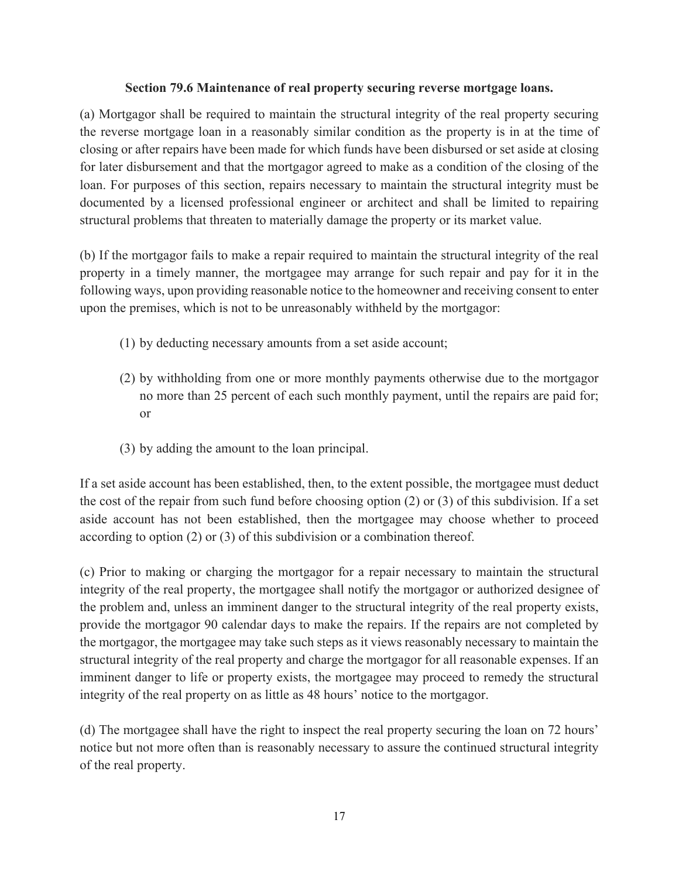### **Section 79.6 Maintenance of real property securing reverse mortgage loans.**

(a) Mortgagor shall be required to maintain the structural integrity of the real property securing the reverse mortgage loan in a reasonably similar condition as the property is in at the time of closing or after repairs have been made for which funds have been disbursed or set aside at closing for later disbursement and that the mortgagor agreed to make as a condition of the closing of the loan. For purposes of this section, repairs necessary to maintain the structural integrity must be documented by a licensed professional engineer or architect and shall be limited to repairing structural problems that threaten to materially damage the property or its market value.

(b) If the mortgagor fails to make a repair required to maintain the structural integrity of the real property in a timely manner, the mortgagee may arrange for such repair and pay for it in the following ways, upon providing reasonable notice to the homeowner and receiving consent to enter upon the premises, which is not to be unreasonably withheld by the mortgagor:

- (1) by deducting necessary amounts from a set aside account;
- (2) by withholding from one or more monthly payments otherwise due to the mortgagor no more than 25 percent of each such monthly payment, until the repairs are paid for; or
- (3) by adding the amount to the loan principal.

If a set aside account has been established, then, to the extent possible, the mortgagee must deduct the cost of the repair from such fund before choosing option (2) or (3) of this subdivision. If a set aside account has not been established, then the mortgagee may choose whether to proceed according to option (2) or (3) of this subdivision or a combination thereof.

(c) Prior to making or charging the mortgagor for a repair necessary to maintain the structural integrity of the real property, the mortgagee shall notify the mortgagor or authorized designee of the problem and, unless an imminent danger to the structural integrity of the real property exists, provide the mortgagor 90 calendar days to make the repairs. If the repairs are not completed by the mortgagor, the mortgagee may take such steps as it views reasonably necessary to maintain the structural integrity of the real property and charge the mortgagor for all reasonable expenses. If an imminent danger to life or property exists, the mortgagee may proceed to remedy the structural integrity of the real property on as little as 48 hours' notice to the mortgagor.

(d) The mortgagee shall have the right to inspect the real property securing the loan on 72 hours' notice but not more often than is reasonably necessary to assure the continued structural integrity of the real property.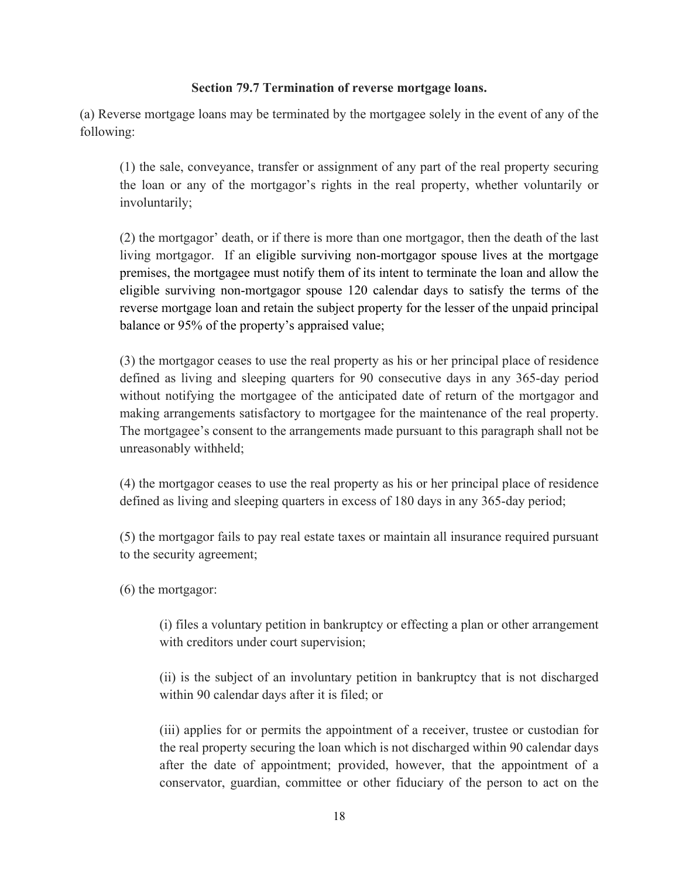## **Section 79.7 Termination of reverse mortgage loans.**

(a) Reverse mortgage loans may be terminated by the mortgagee solely in the event of any of the following:

(1) the sale, conveyance, transfer or assignment of any part of the real property securing the loan or any of the mortgagor's rights in the real property, whether voluntarily or involuntarily;

(2) the mortgagor' death, or if there is more than one mortgagor, then the death of the last living mortgagor. If an eligible surviving non-mortgagor spouse lives at the mortgage premises, the mortgagee must notify them of its intent to terminate the loan and allow the eligible surviving non-mortgagor spouse 120 calendar days to satisfy the terms of the reverse mortgage loan and retain the subject property for the lesser of the unpaid principal balance or 95% of the property's appraised value;

(3) the mortgagor ceases to use the real property as his or her principal place of residence defined as living and sleeping quarters for 90 consecutive days in any 365-day period without notifying the mortgagee of the anticipated date of return of the mortgagor and making arrangements satisfactory to mortgagee for the maintenance of the real property. The mortgagee's consent to the arrangements made pursuant to this paragraph shall not be unreasonably withheld;

(4) the mortgagor ceases to use the real property as his or her principal place of residence defined as living and sleeping quarters in excess of 180 days in any 365-day period;

(5) the mortgagor fails to pay real estate taxes or maintain all insurance required pursuant to the security agreement;

(6) the mortgagor:

(i) files a voluntary petition in bankruptcy or effecting a plan or other arrangement with creditors under court supervision;

(ii) is the subject of an involuntary petition in bankruptcy that is not discharged within 90 calendar days after it is filed; or

(iii) applies for or permits the appointment of a receiver, trustee or custodian for the real property securing the loan which is not discharged within 90 calendar days after the date of appointment; provided, however, that the appointment of a conservator, guardian, committee or other fiduciary of the person to act on the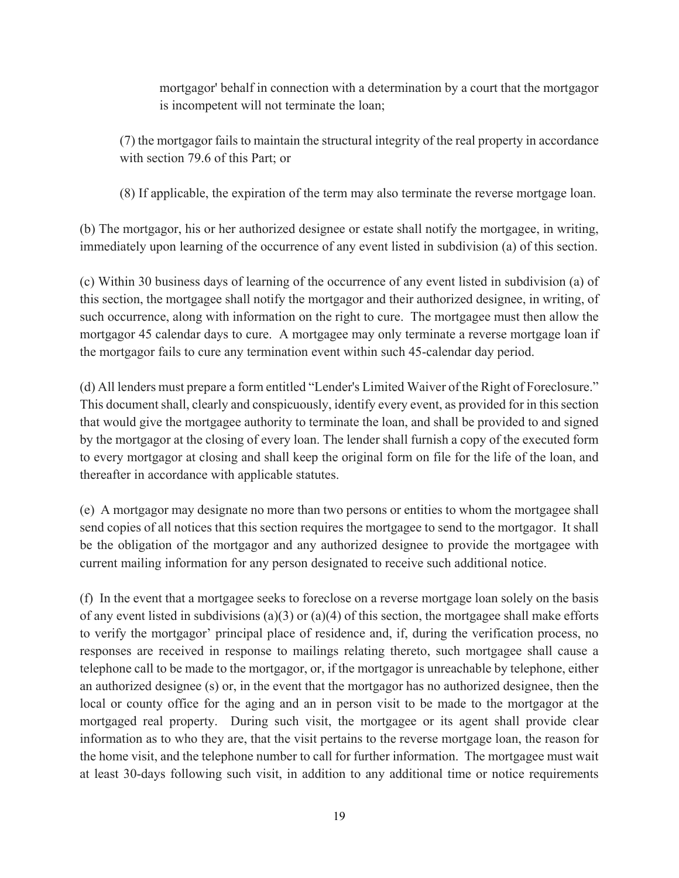mortgagor' behalf in connection with a determination by a court that the mortgagor is incompetent will not terminate the loan;

(7) the mortgagor fails to maintain the structural integrity of the real property in accordance with section 79.6 of this Part; or

(8) If applicable, the expiration of the term may also terminate the reverse mortgage loan.

(b) The mortgagor, his or her authorized designee or estate shall notify the mortgagee, in writing, immediately upon learning of the occurrence of any event listed in subdivision (a) of this section.

(c) Within 30 business days of learning of the occurrence of any event listed in subdivision (a) of this section, the mortgagee shall notify the mortgagor and their authorized designee, in writing, of such occurrence, along with information on the right to cure. The mortgagee must then allow the mortgagor 45 calendar days to cure. A mortgagee may only terminate a reverse mortgage loan if the mortgagor fails to cure any termination event within such 45-calendar day period.

(d) All lenders must prepare a form entitled "Lender's Limited Waiver of the Right of Foreclosure." This document shall, clearly and conspicuously, identify every event, as provided for in this section that would give the mortgagee authority to terminate the loan, and shall be provided to and signed by the mortgagor at the closing of every loan. The lender shall furnish a copy of the executed form to every mortgagor at closing and shall keep the original form on file for the life of the loan, and thereafter in accordance with applicable statutes.

(e) A mortgagor may designate no more than two persons or entities to whom the mortgagee shall send copies of all notices that this section requires the mortgagee to send to the mortgagor. It shall be the obligation of the mortgagor and any authorized designee to provide the mortgagee with current mailing information for any person designated to receive such additional notice.

(f) In the event that a mortgagee seeks to foreclose on a reverse mortgage loan solely on the basis of any event listed in subdivisions (a)(3) or (a)(4) of this section, the mortgagee shall make efforts to verify the mortgagor' principal place of residence and, if, during the verification process, no responses are received in response to mailings relating thereto, such mortgagee shall cause a telephone call to be made to the mortgagor, or, if the mortgagor is unreachable by telephone, either an authorized designee (s) or, in the event that the mortgagor has no authorized designee, then the local or county office for the aging and an in person visit to be made to the mortgagor at the mortgaged real property. During such visit, the mortgagee or its agent shall provide clear information as to who they are, that the visit pertains to the reverse mortgage loan, the reason for the home visit, and the telephone number to call for further information. The mortgagee must wait at least 30-days following such visit, in addition to any additional time or notice requirements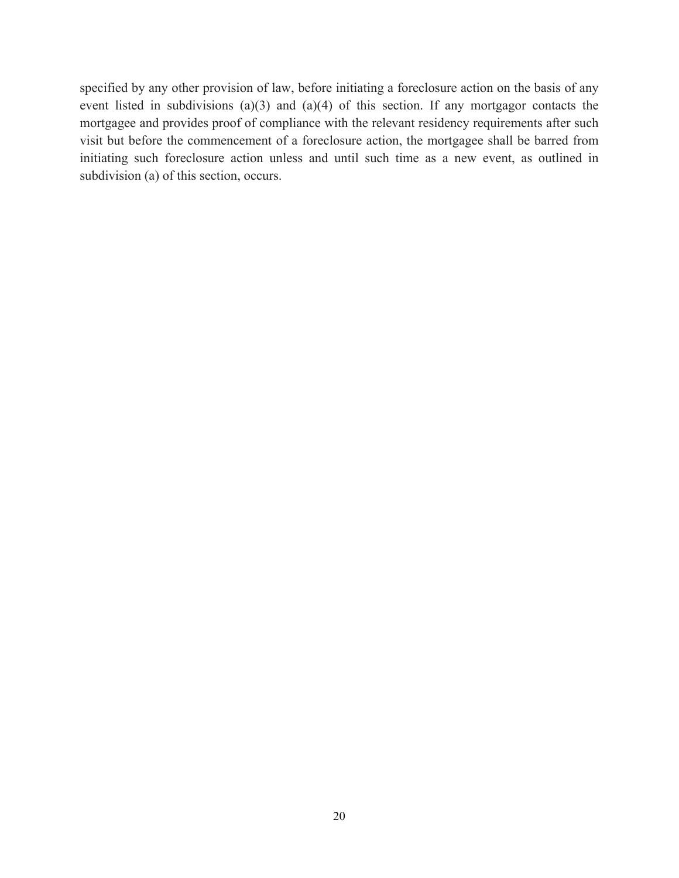specified by any other provision of law, before initiating a foreclosure action on the basis of any event listed in subdivisions (a)(3) and (a)(4) of this section. If any mortgagor contacts the mortgagee and provides proof of compliance with the relevant residency requirements after such visit but before the commencement of a foreclosure action, the mortgagee shall be barred from initiating such foreclosure action unless and until such time as a new event, as outlined in subdivision (a) of this section, occurs.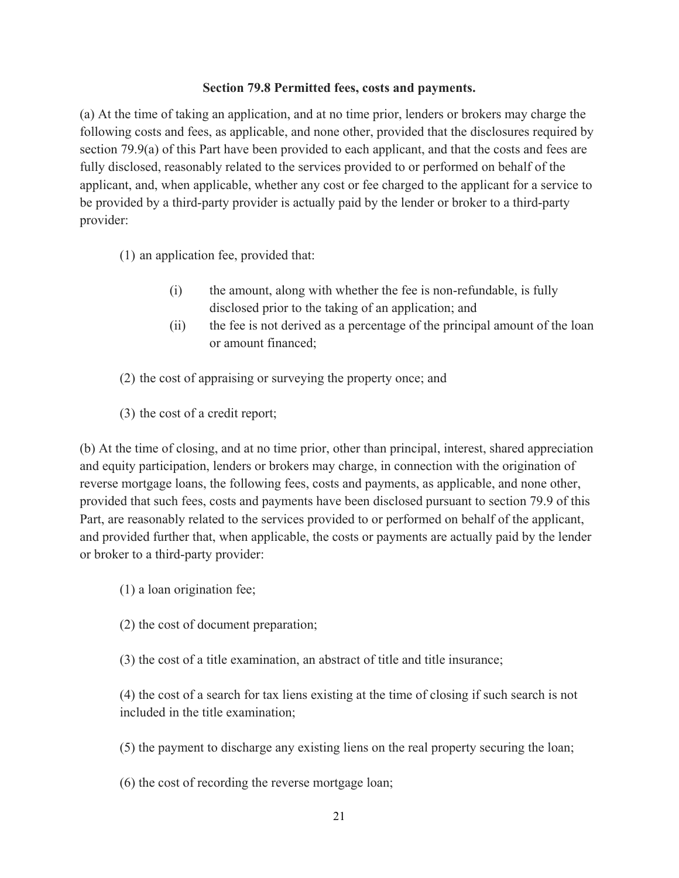#### **Section 79.8 Permitted fees, costs and payments.**

(a) At the time of taking an application, and at no time prior, lenders or brokers may charge the following costs and fees, as applicable, and none other, provided that the disclosures required by section 79.9(a) of this Part have been provided to each applicant, and that the costs and fees are fully disclosed, reasonably related to the services provided to or performed on behalf of the applicant, and, when applicable, whether any cost or fee charged to the applicant for a service to be provided by a third-party provider is actually paid by the lender or broker to a third-party provider:

(1) an application fee, provided that:

- (i) the amount, along with whether the fee is non-refundable, is fully disclosed prior to the taking of an application; and
- (ii) the fee is not derived as a percentage of the principal amount of the loan or amount financed;
- (2) the cost of appraising or surveying the property once; and
- (3) the cost of a credit report;

(b) At the time of closing, and at no time prior, other than principal, interest, shared appreciation and equity participation, lenders or brokers may charge, in connection with the origination of reverse mortgage loans, the following fees, costs and payments, as applicable, and none other, provided that such fees, costs and payments have been disclosed pursuant to section 79.9 of this Part, are reasonably related to the services provided to or performed on behalf of the applicant, and provided further that, when applicable, the costs or payments are actually paid by the lender or broker to a third-party provider:

- (1) a loan origination fee;
- (2) the cost of document preparation;
- (3) the cost of a title examination, an abstract of title and title insurance;

(4) the cost of a search for tax liens existing at the time of closing if such search is not included in the title examination;

(5) the payment to discharge any existing liens on the real property securing the loan;

(6) the cost of recording the reverse mortgage loan;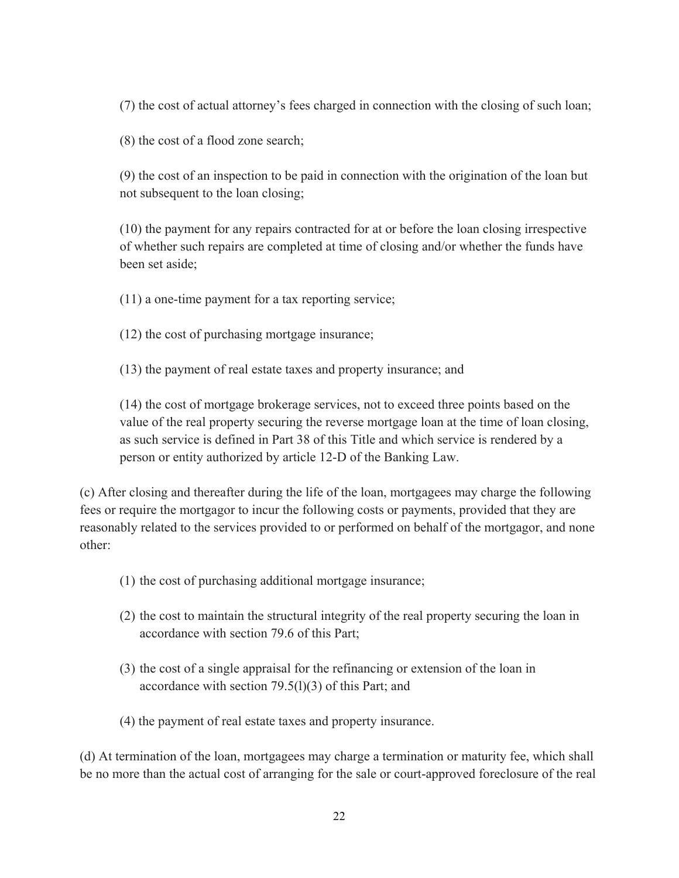(7) the cost of actual attorney's fees charged in connection with the closing of such loan;

(8) the cost of a flood zone search;

(9) the cost of an inspection to be paid in connection with the origination of the loan but not subsequent to the loan closing;

(10) the payment for any repairs contracted for at or before the loan closing irrespective of whether such repairs are completed at time of closing and/or whether the funds have been set aside;

(11) a one-time payment for a tax reporting service;

(12) the cost of purchasing mortgage insurance;

(13) the payment of real estate taxes and property insurance; and

(14) the cost of mortgage brokerage services, not to exceed three points based on the value of the real property securing the reverse mortgage loan at the time of loan closing, as such service is defined in Part 38 of this Title and which service is rendered by a person or entity authorized by article 12-D of the Banking Law.

(c) After closing and thereafter during the life of the loan, mortgagees may charge the following fees or require the mortgagor to incur the following costs or payments, provided that they are reasonably related to the services provided to or performed on behalf of the mortgagor, and none other:

- (1) the cost of purchasing additional mortgage insurance;
- (2) the cost to maintain the structural integrity of the real property securing the loan in accordance with section 79.6 of this Part;
- (3) the cost of a single appraisal for the refinancing or extension of the loan in accordance with section 79.5(l)(3) of this Part; and
- (4) the payment of real estate taxes and property insurance.

(d) At termination of the loan, mortgagees may charge a termination or maturity fee, which shall be no more than the actual cost of arranging for the sale or court-approved foreclosure of the real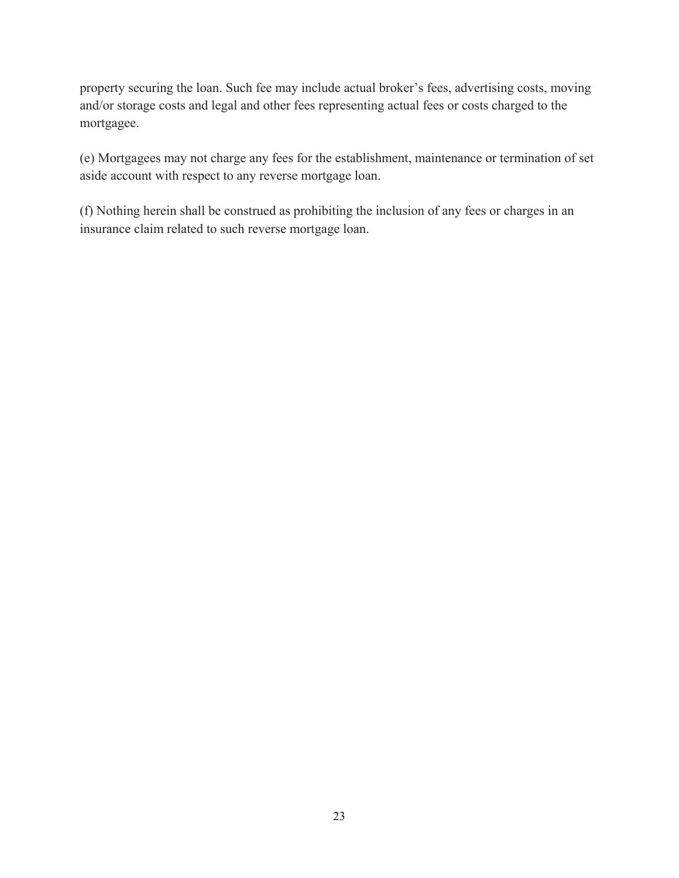property securing the loan. Such fee may include actual broker's fees, advertising costs, moving and/or storage costs and legal and other fees representing actual fees or costs charged to the mortgagee.

(e) Mortgagees may not charge any fees for the establishment, maintenance or termination of set aside account with respect to any reverse mortgage loan.

(f) Nothing herein shall be construed as prohibiting the inclusion of any fees or charges in an insurance claim related to such reverse mortgage loan.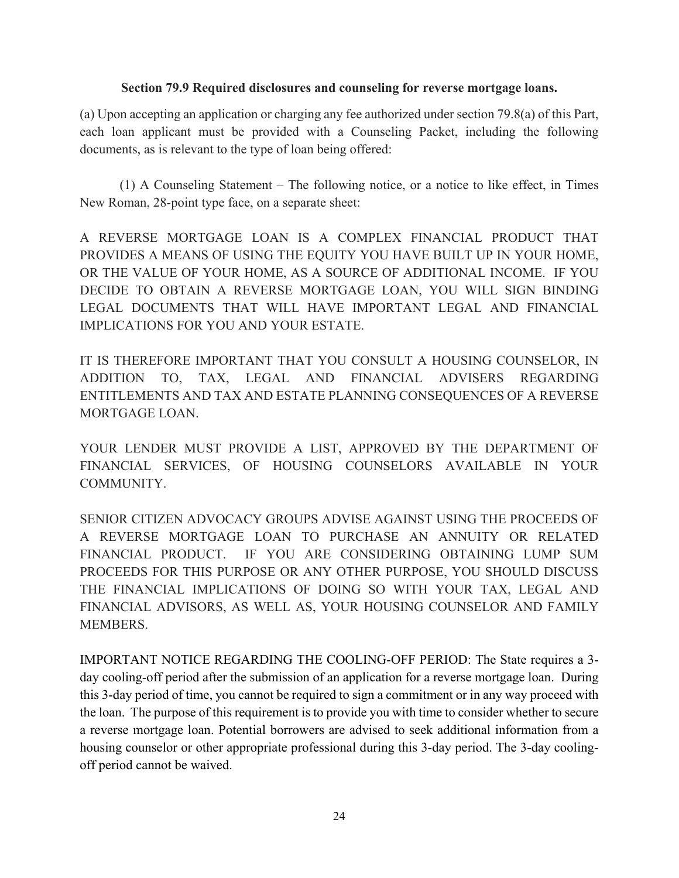### **Section 79.9 Required disclosures and counseling for reverse mortgage loans.**

(a) Upon accepting an application or charging any fee authorized under section 79.8(a) of this Part, each loan applicant must be provided with a Counseling Packet, including the following documents, as is relevant to the type of loan being offered:

(1) A Counseling Statement – The following notice, or a notice to like effect, in Times New Roman, 28-point type face, on a separate sheet:

A REVERSE MORTGAGE LOAN IS A COMPLEX FINANCIAL PRODUCT THAT PROVIDES A MEANS OF USING THE EQUITY YOU HAVE BUILT UP IN YOUR HOME, OR THE VALUE OF YOUR HOME, AS A SOURCE OF ADDITIONAL INCOME. IF YOU DECIDE TO OBTAIN A REVERSE MORTGAGE LOAN, YOU WILL SIGN BINDING LEGAL DOCUMENTS THAT WILL HAVE IMPORTANT LEGAL AND FINANCIAL IMPLICATIONS FOR YOU AND YOUR ESTATE.

IT IS THEREFORE IMPORTANT THAT YOU CONSULT A HOUSING COUNSELOR, IN ADDITION TO, TAX, LEGAL AND FINANCIAL ADVISERS REGARDING ENTITLEMENTS AND TAX AND ESTATE PLANNING CONSEQUENCES OF A REVERSE MORTGAGE LOAN.

YOUR LENDER MUST PROVIDE A LIST, APPROVED BY THE DEPARTMENT OF FINANCIAL SERVICES, OF HOUSING COUNSELORS AVAILABLE IN YOUR COMMUNITY.

SENIOR CITIZEN ADVOCACY GROUPS ADVISE AGAINST USING THE PROCEEDS OF A REVERSE MORTGAGE LOAN TO PURCHASE AN ANNUITY OR RELATED FINANCIAL PRODUCT. IF YOU ARE CONSIDERING OBTAINING LUMP SUM PROCEEDS FOR THIS PURPOSE OR ANY OTHER PURPOSE, YOU SHOULD DISCUSS THE FINANCIAL IMPLICATIONS OF DOING SO WITH YOUR TAX, LEGAL AND FINANCIAL ADVISORS, AS WELL AS, YOUR HOUSING COUNSELOR AND FAMILY MEMBERS.

IMPORTANT NOTICE REGARDING THE COOLING-OFF PERIOD: The State requires a 3 day cooling-off period after the submission of an application for a reverse mortgage loan. During this 3-day period of time, you cannot be required to sign a commitment or in any way proceed with the loan. The purpose of this requirement is to provide you with time to consider whether to secure a reverse mortgage loan. Potential borrowers are advised to seek additional information from a housing counselor or other appropriate professional during this 3-day period. The 3-day coolingoff period cannot be waived.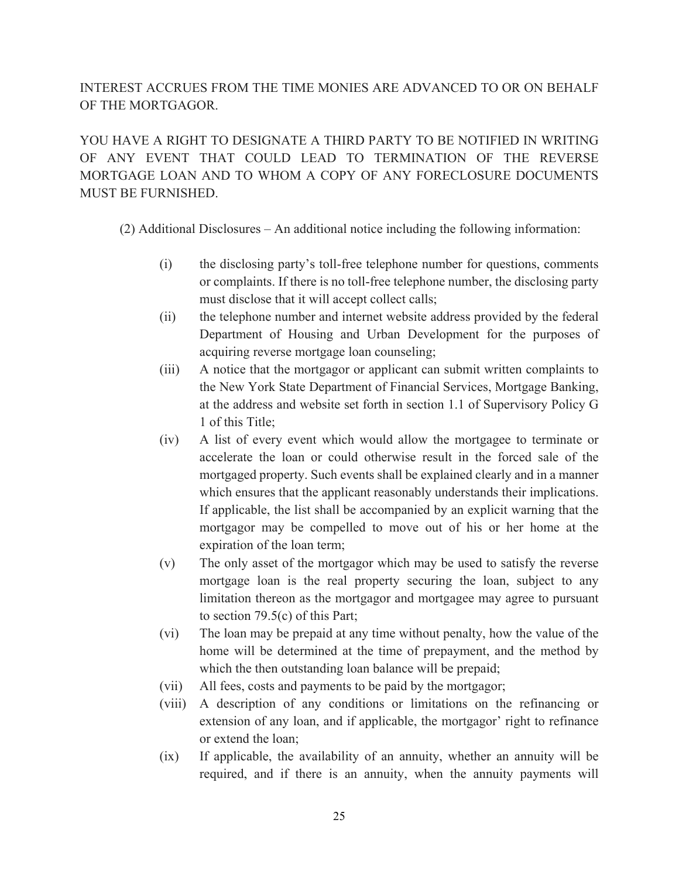# INTEREST ACCRUES FROM THE TIME MONIES ARE ADVANCED TO OR ON BEHALF OF THE MORTGAGOR.

YOU HAVE A RIGHT TO DESIGNATE A THIRD PARTY TO BE NOTIFIED IN WRITING OF ANY EVENT THAT COULD LEAD TO TERMINATION OF THE REVERSE MORTGAGE LOAN AND TO WHOM A COPY OF ANY FORECLOSURE DOCUMENTS MUST BE FURNISHED.

(2) Additional Disclosures – An additional notice including the following information:

- (i) the disclosing party's toll-free telephone number for questions, comments or complaints. If there is no toll-free telephone number, the disclosing party must disclose that it will accept collect calls;
- (ii) the telephone number and internet website address provided by the federal Department of Housing and Urban Development for the purposes of acquiring reverse mortgage loan counseling;
- (iii) A notice that the mortgagor or applicant can submit written complaints to the New York State Department of Financial Services, Mortgage Banking, at the address and website set forth in section 1.1 of Supervisory Policy G 1 of this Title;
- (iv) A list of every event which would allow the mortgagee to terminate or accelerate the loan or could otherwise result in the forced sale of the mortgaged property. Such events shall be explained clearly and in a manner which ensures that the applicant reasonably understands their implications. If applicable, the list shall be accompanied by an explicit warning that the mortgagor may be compelled to move out of his or her home at the expiration of the loan term;
- (v) The only asset of the mortgagor which may be used to satisfy the reverse mortgage loan is the real property securing the loan, subject to any limitation thereon as the mortgagor and mortgagee may agree to pursuant to section 79.5(c) of this Part;
- (vi) The loan may be prepaid at any time without penalty, how the value of the home will be determined at the time of prepayment, and the method by which the then outstanding loan balance will be prepaid;
- (vii) All fees, costs and payments to be paid by the mortgagor;
- (viii) A description of any conditions or limitations on the refinancing or extension of any loan, and if applicable, the mortgagor' right to refinance or extend the loan;
- (ix) If applicable, the availability of an annuity, whether an annuity will be required, and if there is an annuity, when the annuity payments will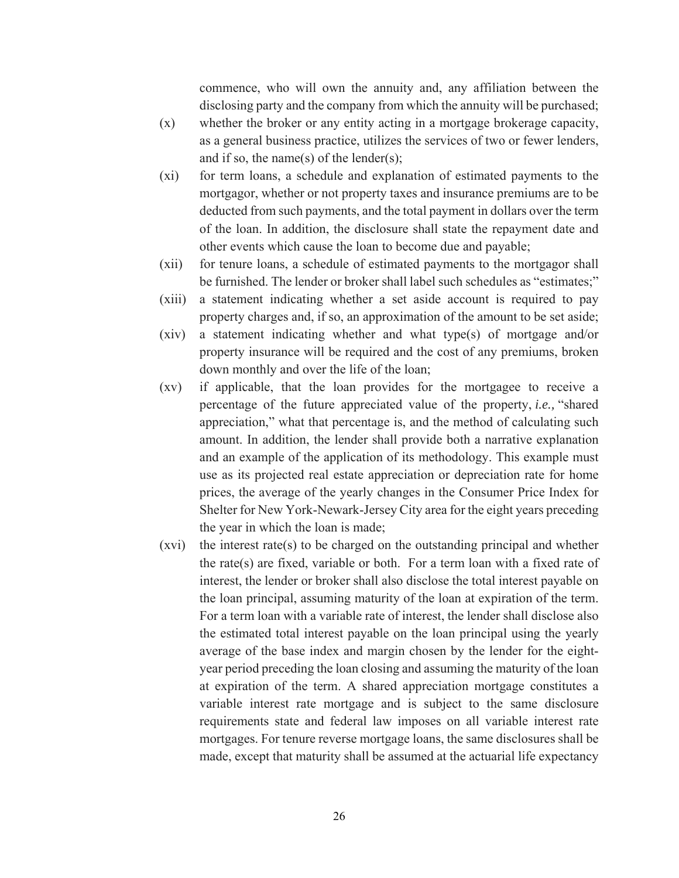commence, who will own the annuity and, any affiliation between the disclosing party and the company from which the annuity will be purchased;

- (x) whether the broker or any entity acting in a mortgage brokerage capacity, as a general business practice, utilizes the services of two or fewer lenders, and if so, the name(s) of the lender(s);
- (xi) for term loans, a schedule and explanation of estimated payments to the mortgagor, whether or not property taxes and insurance premiums are to be deducted from such payments, and the total payment in dollars over the term of the loan. In addition, the disclosure shall state the repayment date and other events which cause the loan to become due and payable;
- (xii) for tenure loans, a schedule of estimated payments to the mortgagor shall be furnished. The lender or broker shall label such schedules as "estimates;"
- (xiii) a statement indicating whether a set aside account is required to pay property charges and, if so, an approximation of the amount to be set aside;
- (xiv) a statement indicating whether and what type(s) of mortgage and/or property insurance will be required and the cost of any premiums, broken down monthly and over the life of the loan;
- (xv) if applicable, that the loan provides for the mortgagee to receive a percentage of the future appreciated value of the property, *i.e.,* "shared appreciation," what that percentage is, and the method of calculating such amount. In addition, the lender shall provide both a narrative explanation and an example of the application of its methodology. This example must use as its projected real estate appreciation or depreciation rate for home prices, the average of the yearly changes in the Consumer Price Index for Shelter for New York-Newark-Jersey City area for the eight years preceding the year in which the loan is made;
- $(xvi)$  the interest rate(s) to be charged on the outstanding principal and whether the rate(s) are fixed, variable or both. For a term loan with a fixed rate of interest, the lender or broker shall also disclose the total interest payable on the loan principal, assuming maturity of the loan at expiration of the term. For a term loan with a variable rate of interest, the lender shall disclose also the estimated total interest payable on the loan principal using the yearly average of the base index and margin chosen by the lender for the eightyear period preceding the loan closing and assuming the maturity of the loan at expiration of the term. A shared appreciation mortgage constitutes a variable interest rate mortgage and is subject to the same disclosure requirements state and federal law imposes on all variable interest rate mortgages. For tenure reverse mortgage loans, the same disclosures shall be made, except that maturity shall be assumed at the actuarial life expectancy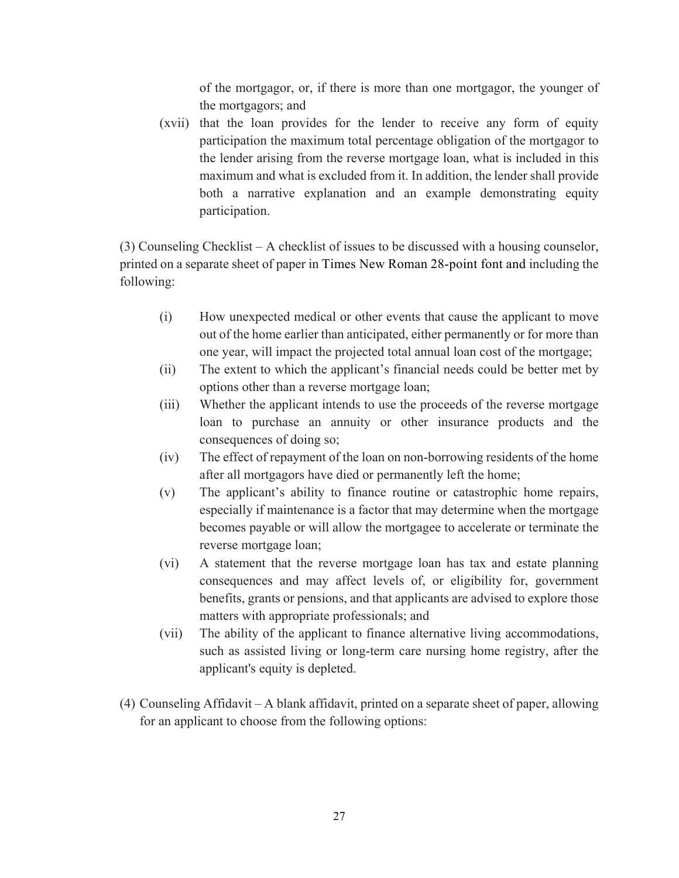of the mortgagor, or, if there is more than one mortgagor, the younger of the mortgagors; and

(xvii) that the loan provides for the lender to receive any form of equity participation the maximum total percentage obligation of the mortgagor to the lender arising from the reverse mortgage loan, what is included in this maximum and what is excluded from it. In addition, the lender shall provide both a narrative explanation and an example demonstrating equity participation.

(3) Counseling Checklist – A checklist of issues to be discussed with a housing counselor, printed on a separate sheet of paper in Times New Roman 28-point font and including the following:

- (i) How unexpected medical or other events that cause the applicant to move out of the home earlier than anticipated, either permanently or for more than one year, will impact the projected total annual loan cost of the mortgage;
- (ii) The extent to which the applicant's financial needs could be better met by options other than a reverse mortgage loan;
- (iii) Whether the applicant intends to use the proceeds of the reverse mortgage loan to purchase an annuity or other insurance products and the consequences of doing so;
- (iv) The effect of repayment of the loan on non-borrowing residents of the home after all mortgagors have died or permanently left the home;
- (v) The applicant's ability to finance routine or catastrophic home repairs, especially if maintenance is a factor that may determine when the mortgage becomes payable or will allow the mortgagee to accelerate or terminate the reverse mortgage loan;
- (vi) A statement that the reverse mortgage loan has tax and estate planning consequences and may affect levels of, or eligibility for, government benefits, grants or pensions, and that applicants are advised to explore those matters with appropriate professionals; and
- (vii) The ability of the applicant to finance alternative living accommodations, such as assisted living or long-term care nursing home registry, after the applicant's equity is depleted.
- (4) Counseling Affidavit A blank affidavit, printed on a separate sheet of paper, allowing for an applicant to choose from the following options: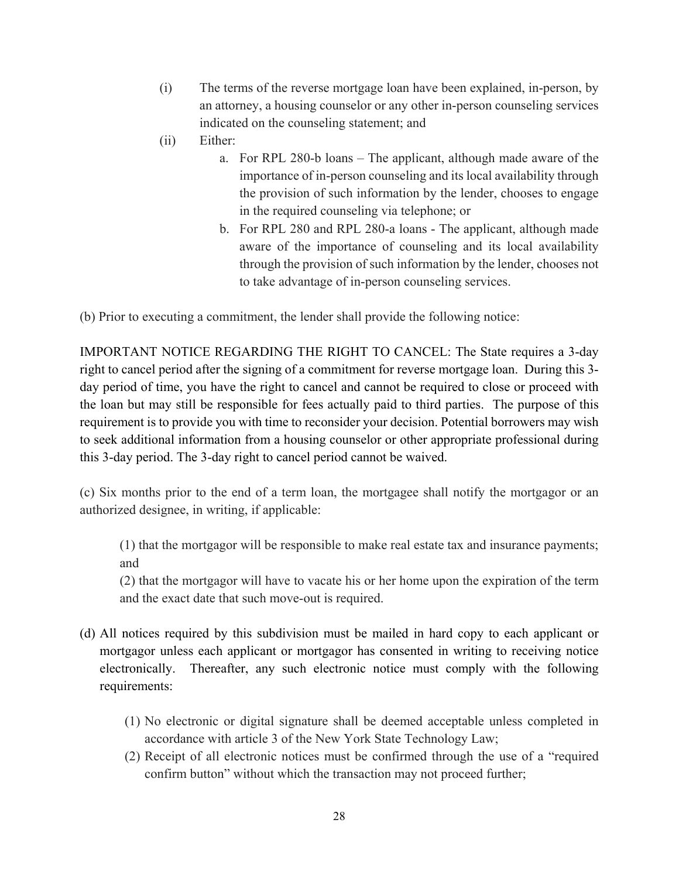- (i) The terms of the reverse mortgage loan have been explained, in-person, by an attorney, a housing counselor or any other in-person counseling services indicated on the counseling statement; and
- (ii) Either:
	- a. For RPL 280-b loans The applicant, although made aware of the importance of in-person counseling and its local availability through the provision of such information by the lender, chooses to engage in the required counseling via telephone; or
	- b. For RPL 280 and RPL 280-a loans The applicant, although made aware of the importance of counseling and its local availability through the provision of such information by the lender, chooses not to take advantage of in-person counseling services.

(b) Prior to executing a commitment, the lender shall provide the following notice:

IMPORTANT NOTICE REGARDING THE RIGHT TO CANCEL: The State requires a 3-day right to cancel period after the signing of a commitment for reverse mortgage loan. During this 3 day period of time, you have the right to cancel and cannot be required to close or proceed with the loan but may still be responsible for fees actually paid to third parties. The purpose of this requirement is to provide you with time to reconsider your decision. Potential borrowers may wish to seek additional information from a housing counselor or other appropriate professional during this 3-day period. The 3-day right to cancel period cannot be waived.

(c) Six months prior to the end of a term loan, the mortgagee shall notify the mortgagor or an authorized designee, in writing, if applicable:

(1) that the mortgagor will be responsible to make real estate tax and insurance payments; and

(2) that the mortgagor will have to vacate his or her home upon the expiration of the term and the exact date that such move-out is required.

- (d) All notices required by this subdivision must be mailed in hard copy to each applicant or mortgagor unless each applicant or mortgagor has consented in writing to receiving notice electronically. Thereafter, any such electronic notice must comply with the following requirements:
	- (1) No electronic or digital signature shall be deemed acceptable unless completed in accordance with article 3 of the New York State Technology Law;
	- (2) Receipt of all electronic notices must be confirmed through the use of a "required confirm button" without which the transaction may not proceed further;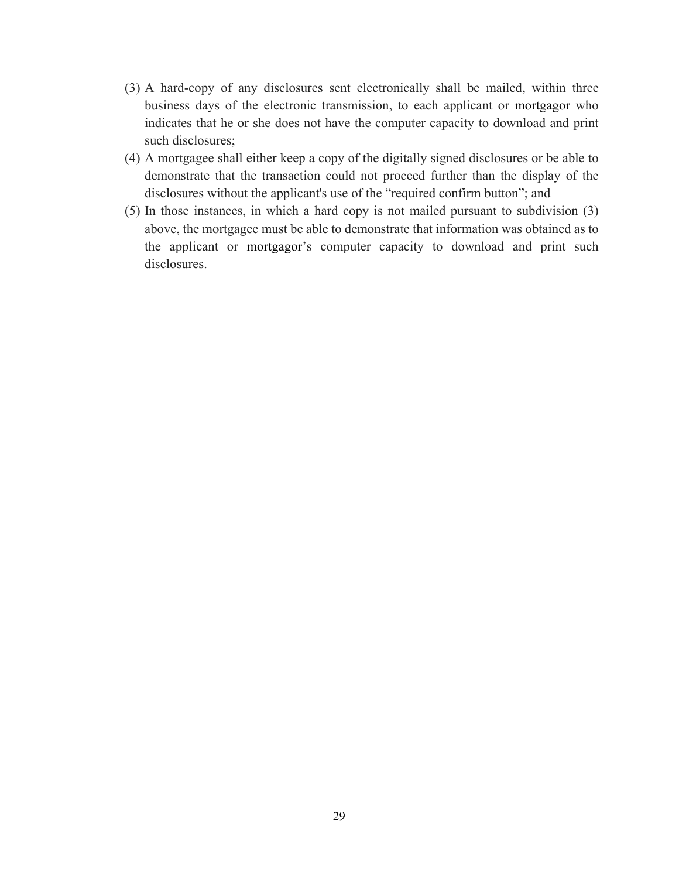- (3) A hard-copy of any disclosures sent electronically shall be mailed, within three business days of the electronic transmission, to each applicant or mortgagor who indicates that he or she does not have the computer capacity to download and print such disclosures;
- (4) A mortgagee shall either keep a copy of the digitally signed disclosures or be able to demonstrate that the transaction could not proceed further than the display of the disclosures without the applicant's use of the "required confirm button"; and
- (5) In those instances, in which a hard copy is not mailed pursuant to subdivision (3) above, the mortgagee must be able to demonstrate that information was obtained as to the applicant or mortgagor's computer capacity to download and print such disclosures.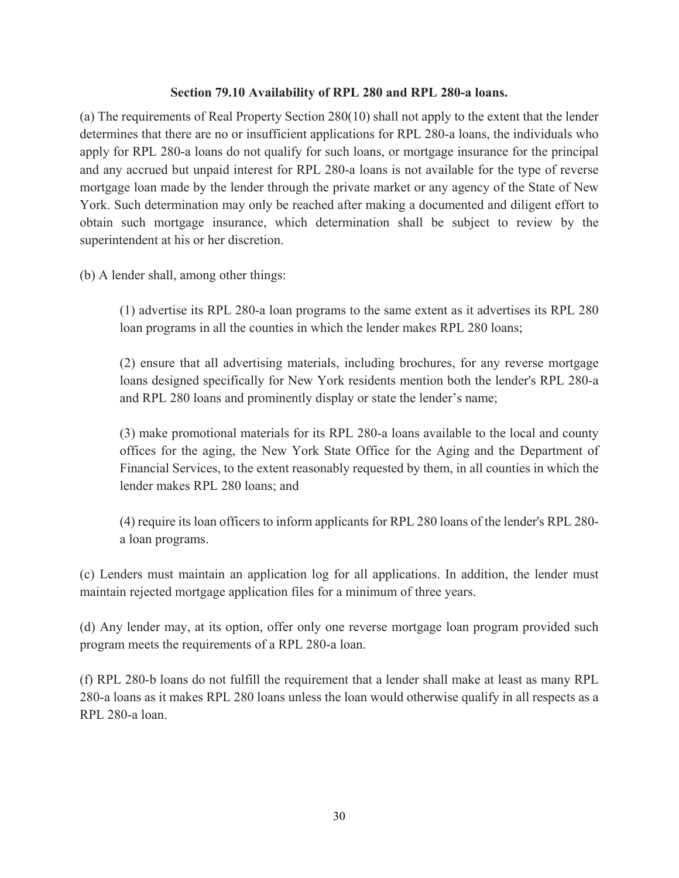# **Section 79.10 Availability of RPL 280 and RPL 280-a loans.**

(a) The requirements of Real Property Section 280(10) shall not apply to the extent that the lender determines that there are no or insufficient applications for RPL 280-a loans, the individuals who apply for RPL 280-a loans do not qualify for such loans, or mortgage insurance for the principal and any accrued but unpaid interest for RPL 280-a loans is not available for the type of reverse mortgage loan made by the lender through the private market or any agency of the State of New York. Such determination may only be reached after making a documented and diligent effort to obtain such mortgage insurance, which determination shall be subject to review by the superintendent at his or her discretion.

(b) A lender shall, among other things:

(1) advertise its RPL 280-a loan programs to the same extent as it advertises its RPL 280 loan programs in all the counties in which the lender makes RPL 280 loans;

(2) ensure that all advertising materials, including brochures, for any reverse mortgage loans designed specifically for New York residents mention both the lender's RPL 280-a and RPL 280 loans and prominently display or state the lender's name;

(3) make promotional materials for its RPL 280-a loans available to the local and county offices for the aging, the New York State Office for the Aging and the Department of Financial Services, to the extent reasonably requested by them, in all counties in which the lender makes RPL 280 loans; and

(4) require its loan officers to inform applicants for RPL 280 loans of the lender's RPL 280 a loan programs.

(c) Lenders must maintain an application log for all applications. In addition, the lender must maintain rejected mortgage application files for a minimum of three years.

(d) Any lender may, at its option, offer only one reverse mortgage loan program provided such program meets the requirements of a RPL 280-a loan.

(f) RPL 280-b loans do not fulfill the requirement that a lender shall make at least as many RPL 280-a loans as it makes RPL 280 loans unless the loan would otherwise qualify in all respects as a RPL 280-a loan.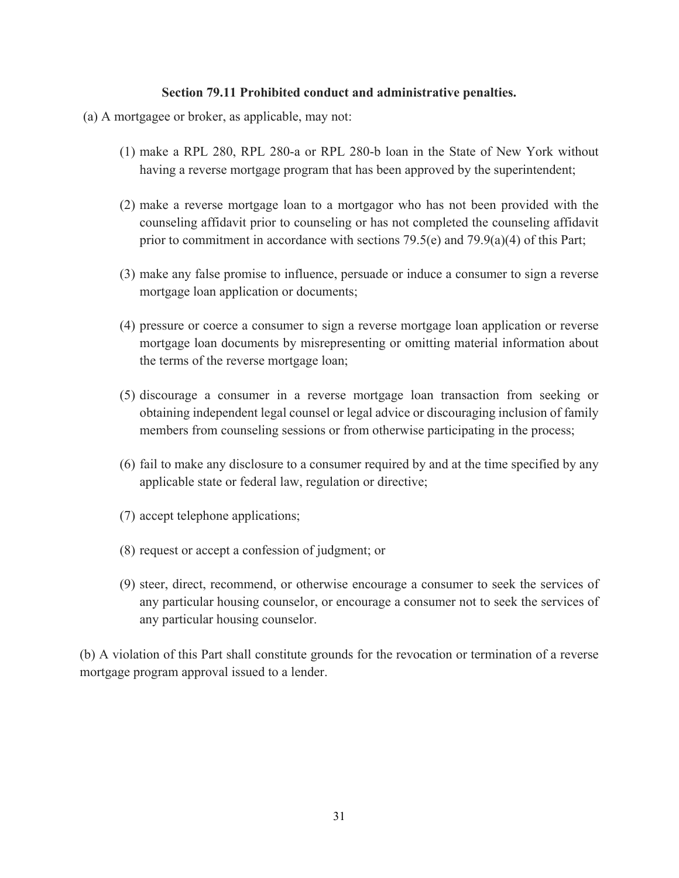#### **Section 79.11 Prohibited conduct and administrative penalties.**

- (a) A mortgagee or broker, as applicable, may not:
	- (1) make a RPL 280, RPL 280-a or RPL 280-b loan in the State of New York without having a reverse mortgage program that has been approved by the superintendent;
	- (2) make a reverse mortgage loan to a mortgagor who has not been provided with the counseling affidavit prior to counseling or has not completed the counseling affidavit prior to commitment in accordance with sections  $79.5(e)$  and  $79.9(a)(4)$  of this Part;
	- (3) make any false promise to influence, persuade or induce a consumer to sign a reverse mortgage loan application or documents;
	- (4) pressure or coerce a consumer to sign a reverse mortgage loan application or reverse mortgage loan documents by misrepresenting or omitting material information about the terms of the reverse mortgage loan;
	- (5) discourage a consumer in a reverse mortgage loan transaction from seeking or obtaining independent legal counsel or legal advice or discouraging inclusion of family members from counseling sessions or from otherwise participating in the process;
	- (6) fail to make any disclosure to a consumer required by and at the time specified by any applicable state or federal law, regulation or directive;
	- (7) accept telephone applications;
	- (8) request or accept a confession of judgment; or
	- (9) steer, direct, recommend, or otherwise encourage a consumer to seek the services of any particular housing counselor, or encourage a consumer not to seek the services of any particular housing counselor.

(b) A violation of this Part shall constitute grounds for the revocation or termination of a reverse mortgage program approval issued to a lender.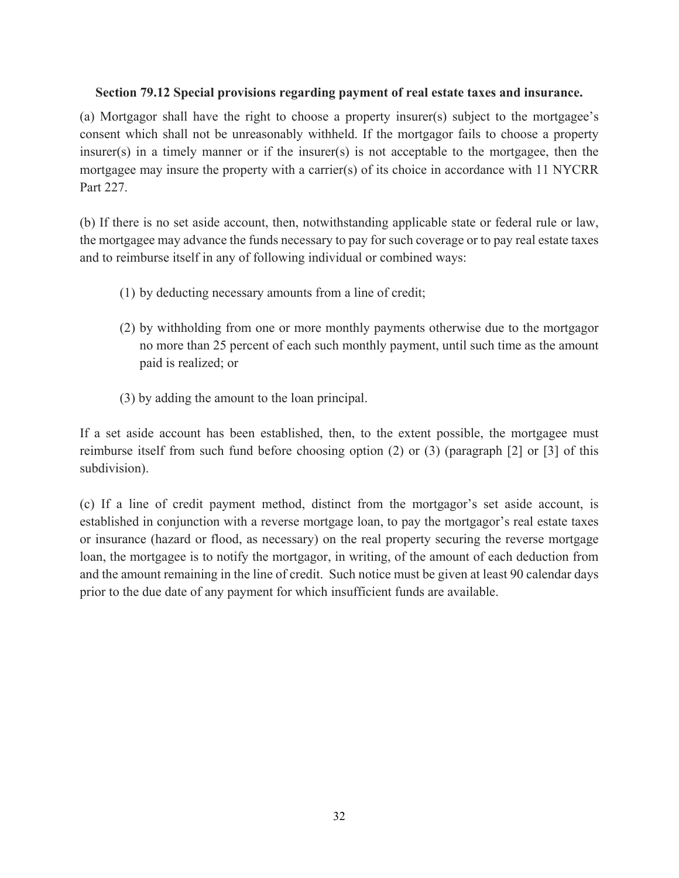## **Section 79.12 Special provisions regarding payment of real estate taxes and insurance.**

(a) Mortgagor shall have the right to choose a property insurer(s) subject to the mortgagee's consent which shall not be unreasonably withheld. If the mortgagor fails to choose a property insurer(s) in a timely manner or if the insurer(s) is not acceptable to the mortgagee, then the mortgagee may insure the property with a carrier(s) of its choice in accordance with 11 NYCRR Part 227.

(b) If there is no set aside account, then, notwithstanding applicable state or federal rule or law, the mortgagee may advance the funds necessary to pay for such coverage or to pay real estate taxes and to reimburse itself in any of following individual or combined ways:

- (1) by deducting necessary amounts from a line of credit;
- (2) by withholding from one or more monthly payments otherwise due to the mortgagor no more than 25 percent of each such monthly payment, until such time as the amount paid is realized; or
- (3) by adding the amount to the loan principal.

If a set aside account has been established, then, to the extent possible, the mortgagee must reimburse itself from such fund before choosing option (2) or (3) (paragraph [2] or [3] of this subdivision).

(c) If a line of credit payment method, distinct from the mortgagor's set aside account, is established in conjunction with a reverse mortgage loan, to pay the mortgagor's real estate taxes or insurance (hazard or flood, as necessary) on the real property securing the reverse mortgage loan, the mortgagee is to notify the mortgagor, in writing, of the amount of each deduction from and the amount remaining in the line of credit. Such notice must be given at least 90 calendar days prior to the due date of any payment for which insufficient funds are available.